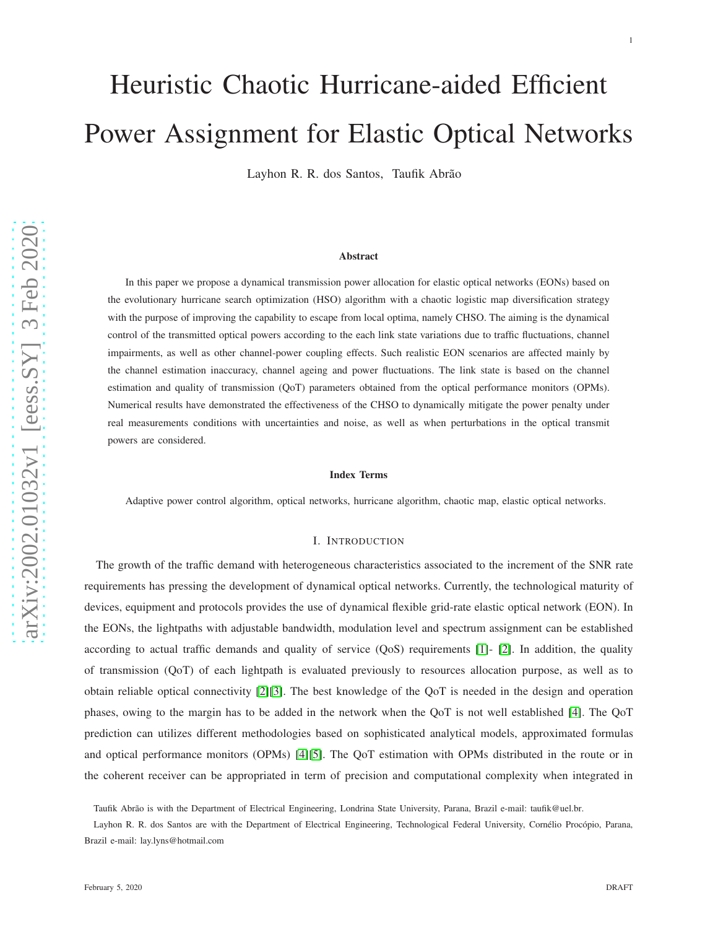Layhon R. R. dos Santos, Taufik Abrão

#### Abstract

In this paper we propose a dynamical transmission power allocation for elastic optical networks (EONs) based on the evolutionary hurricane search optimization (HSO) algorithm with a chaotic logistic map diversification strategy with the purpose of improving the capability to escape from local optima, namely CHSO. The aiming is the dynamical control of the transmitted optical powers according to the each link state variations due to traffic fluctuations, channe l impairments, as well as other channel-power coupling effects. Such realistic EON scenarios are affected mainly by the channel estimation inaccuracy, channel ageing and power fluctuations. The link state is based on the channel estimation and quality of transmission (QoT) parameters obtained from the optical performance monitors (OPMs). Numerical results have demonstrated the effectiveness of the CHSO to dynamically mitigate the power penalty under real measurements conditions with uncertainties and noise, as well as when perturbations in the optical transmit powers are considered.

### Index Terms

Adaptive power control algorithm, optical networks, hurricane algorithm, chaotic map, elastic optical networks.

### I. INTRODUCTION

The growth of the traffic demand with heterogeneous characteristics associated to the increment of the SNR rate requirements has pressing the development of dynamical optical networks. Currently, the technological maturity of devices, equipment and protocols provides the use of dynamical flexible grid-rate elastic optical network (EON). In the EONs, the lightpaths with adjustable bandwidth, modulation level and spectrum assignment can be established according to actual traffic demands and quality of service (QoS) requirements [\[1\]](#page-25-0)- [\[2\]](#page-25-1). In addition, the quality of transmission (QoT) of each lightpath is evaluated previously to resources allocation purpose, as well as to obtain reliable optical connectivity [\[2\]](#page-25-1)[\[3\]](#page-25-2). The best knowledge of the QoT is needed in the design and operation phases, owing to the margin has to be added in the network when the QoT is not well established [\[4\]](#page-25-3). The QoT prediction can utilizes different methodologies based on sophisticated analytical models, approximated formulas and optical performance monitors (OPMs) [\[4\]](#page-25-3)[\[5\]](#page-25-4). The QoT estimation with OPMs distributed in the route or in the coherent receiver can be appropriated in term of precision and computational complexity when integrated in

Taufik Abrão is with the Department of Electrical Engineering, Londrina State University, Parana, Brazil e-mail: taufik@uel.br.

Layhon R. R. dos Santos are with the Department of Electrical Engineering, Technological Federal University, Cornélio Procópio, Parana, Brazil e-mail: lay.lyns@hotmail.com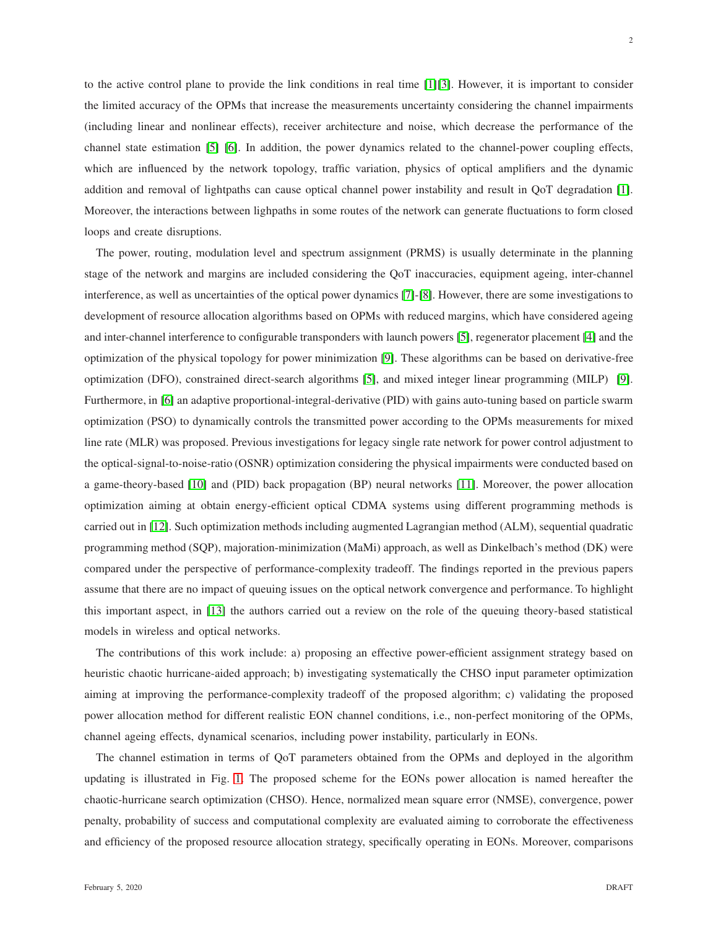to the active control plane to provide the link conditions in real time [\[1\]](#page-25-0)[\[3\]](#page-25-2). However, it is important to consider the limited accuracy of the OPMs that increase the measurements uncertainty considering the channel impairments (including linear and nonlinear effects), receiver architecture and noise, which decrease the performance of the channel state estimation [\[5\]](#page-25-4) [\[6\]](#page-26-0). In addition, the power dynamics related to the channel-power coupling effects, which are influenced by the network topology, traffic variation, physics of optical amplifiers and the dynamic addition and removal of lightpaths can cause optical channel power instability and result in QoT degradation [\[1\]](#page-25-0). Moreover, the interactions between lighpaths in some routes of the network can generate fluctuations to form closed loops and create disruptions.

The power, routing, modulation level and spectrum assignment (PRMS) is usually determinate in the planning stage of the network and margins are included considering the QoT inaccuracies, equipment ageing, inter-channel interference, as well as uncertainties of the optical power dynamics [\[7\]](#page-26-1)-[\[8\]](#page-26-2). However, there are some investigations to development of resource allocation algorithms based on OPMs with reduced margins, which have considered ageing and inter-channel interference to configurable transponders with launch powers [\[5\]](#page-25-4), regenerator placement [\[4\]](#page-25-3) and the optimization of the physical topology for power minimization [\[9\]](#page-26-3). These algorithms can be based on derivative-free optimization (DFO), constrained direct-search algorithms [\[5\]](#page-25-4), and mixed integer linear programming (MILP) [\[9\]](#page-26-3). Furthermore, in [\[6\]](#page-26-0) an adaptive proportional-integral-derivative (PID) with gains auto-tuning based on particle swarm optimization (PSO) to dynamically controls the transmitted power according to the OPMs measurements for mixed line rate (MLR) was proposed. Previous investigations for legacy single rate network for power control adjustment to the optical-signal-to-noise-ratio (OSNR) optimization considering the physical impairments were conducted based on a game-theory-based [\[10\]](#page-26-4) and (PID) back propagation (BP) neural networks [\[11\]](#page-26-5). Moreover, the power allocation optimization aiming at obtain energy-efficient optical CDMA systems using different programming methods is carried out in [\[12\]](#page-26-6). Such optimization methods including augmented Lagrangian method (ALM), sequential quadratic programming method (SQP), majoration-minimization (MaMi) approach, as well as Dinkelbach's method (DK) were compared under the perspective of performance-complexity tradeoff. The findings reported in the previous papers assume that there are no impact of queuing issues on the optical network convergence and performance. To highlight this important aspect, in [\[13\]](#page-26-7) the authors carried out a review on the role of the queuing theory-based statistical models in wireless and optical networks.

The contributions of this work include: a) proposing an effective power-efficient assignment strategy based on heuristic chaotic hurricane-aided approach; b) investigating systematically the CHSO input parameter optimization aiming at improving the performance-complexity tradeoff of the proposed algorithm; c) validating the proposed power allocation method for different realistic EON channel conditions, i.e., non-perfect monitoring of the OPMs, channel ageing effects, dynamical scenarios, including power instability, particularly in EONs.

The channel estimation in terms of QoT parameters obtained from the OPMs and deployed in the algorithm updating is illustrated in Fig. [1.](#page-2-0) The proposed scheme for the EONs power allocation is named hereafter the chaotic-hurricane search optimization (CHSO). Hence, normalized mean square error (NMSE), convergence, power penalty, probability of success and computational complexity are evaluated aiming to corroborate the effectiveness and efficiency of the proposed resource allocation strategy, specifically operating in EONs. Moreover, comparisons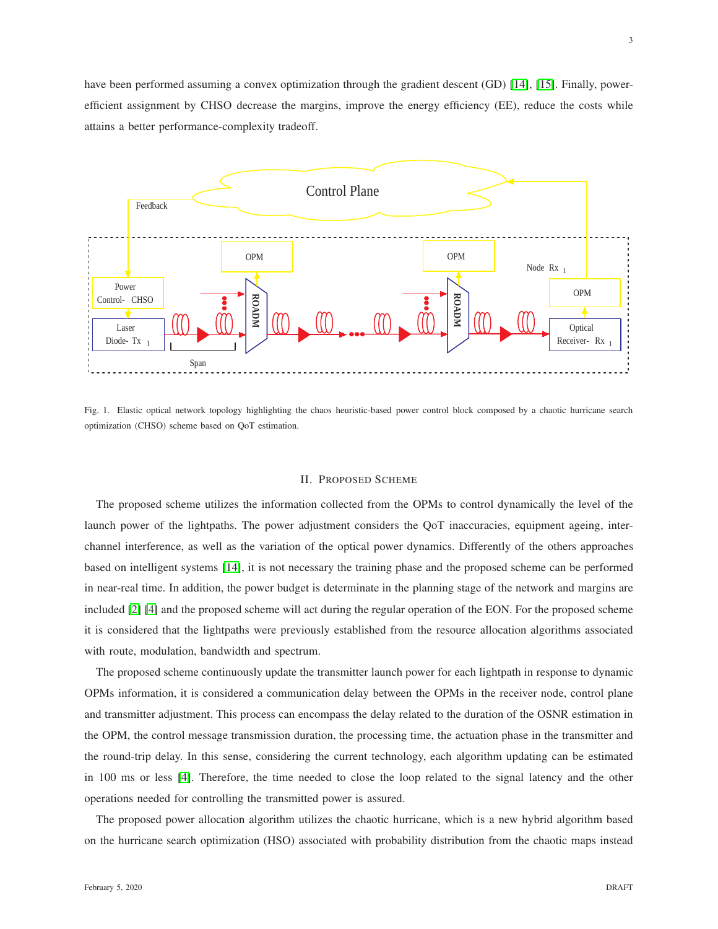have been performed assuming a convex optimization through the gradient descent (GD) [\[14\]](#page-26-8), [\[15\]](#page-26-9). Finally, powerefficient assignment by CHSO decrease the margins, improve the energy efficiency (EE), reduce the costs while attains a better performance-complexity tradeoff.



<span id="page-2-0"></span>Fig. 1. Elastic optical network topology highlighting the chaos heuristic-based power control block composed by a chaotic hurricane search optimization (CHSO) scheme based on QoT estimation.

### II. PROPOSED SCHEME

The proposed scheme utilizes the information collected from the OPMs to control dynamically the level of the launch power of the lightpaths. The power adjustment considers the QoT inaccuracies, equipment ageing, interchannel interference, as well as the variation of the optical power dynamics. Differently of the others approaches based on intelligent systems [\[14\]](#page-26-8), it is not necessary the training phase and the proposed scheme can be performed in near-real time. In addition, the power budget is determinate in the planning stage of the network and margins are included [\[2\]](#page-25-1) [\[4\]](#page-25-3) and the proposed scheme will act during the regular operation of the EON. For the proposed scheme it is considered that the lightpaths were previously established from the resource allocation algorithms associated with route, modulation, bandwidth and spectrum.

The proposed scheme continuously update the transmitter launch power for each lightpath in response to dynamic OPMs information, it is considered a communication delay between the OPMs in the receiver node, control plane and transmitter adjustment. This process can encompass the delay related to the duration of the OSNR estimation in the OPM, the control message transmission duration, the processing time, the actuation phase in the transmitter and the round-trip delay. In this sense, considering the current technology, each algorithm updating can be estimated in 100 ms or less [\[4\]](#page-25-3). Therefore, the time needed to close the loop related to the signal latency and the other operations needed for controlling the transmitted power is assured.

The proposed power allocation algorithm utilizes the chaotic hurricane, which is a new hybrid algorithm based on the hurricane search optimization (HSO) associated with probability distribution from the chaotic maps instead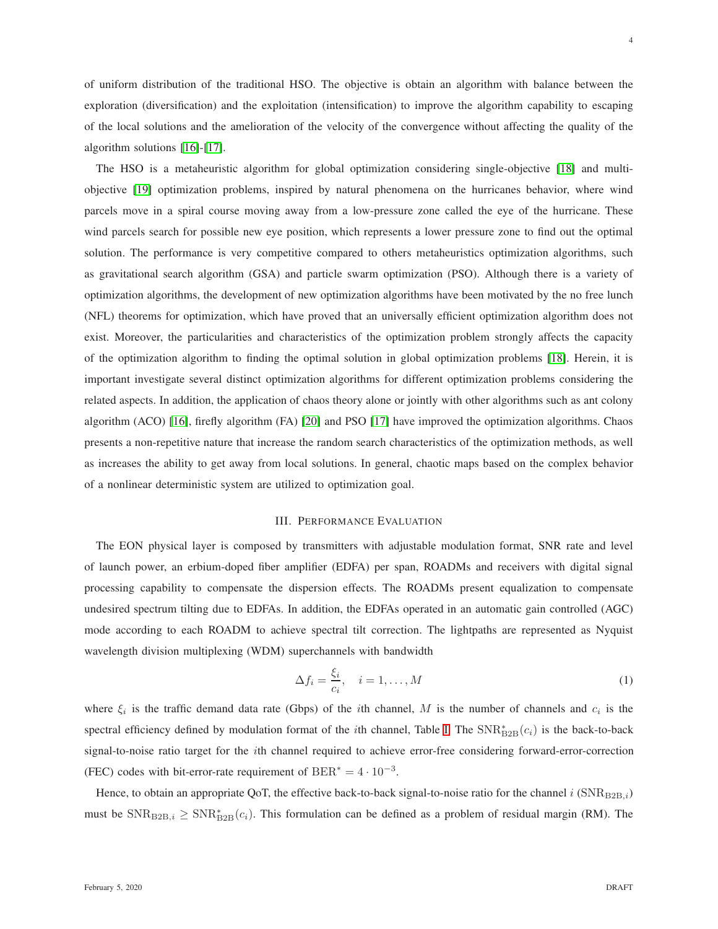of uniform distribution of the traditional HSO. The objective is obtain an algorithm with balance between the exploration (diversification) and the exploitation (intensification) to improve the algorithm capability to escaping of the local solutions and the amelioration of the velocity of the convergence without affecting the quality of the algorithm solutions [\[16\]](#page-26-10)-[\[17\]](#page-26-11).

The HSO is a metaheuristic algorithm for global optimization considering single-objective [\[18\]](#page-26-12) and multiobjective [\[19\]](#page-26-13) optimization problems, inspired by natural phenomena on the hurricanes behavior, where wind parcels move in a spiral course moving away from a low-pressure zone called the eye of the hurricane. These wind parcels search for possible new eye position, which represents a lower pressure zone to find out the optimal solution. The performance is very competitive compared to others metaheuristics optimization algorithms, such as gravitational search algorithm (GSA) and particle swarm optimization (PSO). Although there is a variety of optimization algorithms, the development of new optimization algorithms have been motivated by the no free lunch (NFL) theorems for optimization, which have proved that an universally efficient optimization algorithm does not exist. Moreover, the particularities and characteristics of the optimization problem strongly affects the capacity of the optimization algorithm to finding the optimal solution in global optimization problems [\[18\]](#page-26-12). Herein, it is important investigate several distinct optimization algorithms for different optimization problems considering the related aspects. In addition, the application of chaos theory alone or jointly with other algorithms such as ant colony algorithm (ACO) [\[16\]](#page-26-10), firefly algorithm (FA) [\[20\]](#page-26-14) and PSO [\[17\]](#page-26-11) have improved the optimization algorithms. Chaos presents a non-repetitive nature that increase the random search characteristics of the optimization methods, as well as increases the ability to get away from local solutions. In general, chaotic maps based on the complex behavior of a nonlinear deterministic system are utilized to optimization goal.

### III. PERFORMANCE EVALUATION

The EON physical layer is composed by transmitters with adjustable modulation format, SNR rate and level of launch power, an erbium-doped fiber amplifier (EDFA) per span, ROADMs and receivers with digital signal processing capability to compensate the dispersion effects. The ROADMs present equalization to compensate undesired spectrum tilting due to EDFAs. In addition, the EDFAs operated in an automatic gain controlled (AGC) mode according to each ROADM to achieve spectral tilt correction. The lightpaths are represented as Nyquist wavelength division multiplexing (WDM) superchannels with bandwidth

$$
\Delta f_i = \frac{\xi_i}{c_i}, \quad i = 1, \dots, M
$$
\n(1)

where  $\xi_i$  is the traffic demand data rate (Gbps) of the *i*th channel, M is the number of channels and  $c_i$  is the spectral efficiency defined by modulation format of the *i*th channel, Table [I.](#page-4-0) The  $\text{SNR}^*_{\text{B2B}}(c_i)$  is the back-to-back signal-to-noise ratio target for the ith channel required to achieve error-free considering forward-error-correction (FEC) codes with bit-error-rate requirement of  $BER^* = 4 \cdot 10^{-3}$ .

Hence, to obtain an appropriate QoT, the effective back-to-back signal-to-noise ratio for the channel  $i$  (SNRB2B,i) must be  $SNR_{B2B,i} \geq SNR_{B2B}^*(c_i)$ . This formulation can be defined as a problem of residual margin (RM). The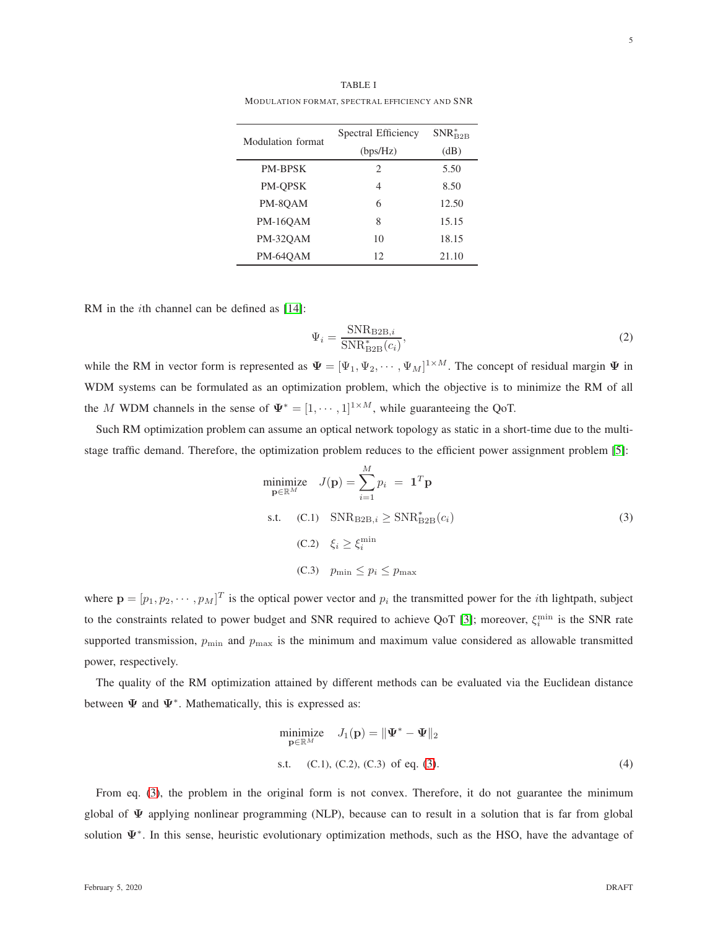TABLE I MODULATION FORMAT, SPECTRAL EFFICIENCY AND SNR

<span id="page-4-0"></span>

| Modulation format | Spectral Efficiency         | $SNR_{B2B}^*$ |
|-------------------|-----------------------------|---------------|
|                   | (bps/Hz)                    | (dB)          |
| <b>PM-BPSK</b>    | $\mathcal{D}_{\mathcal{L}}$ | 5.50          |
| PM-OPSK           | 4                           | 8.50          |
| PM-8OAM           | 6                           | 12.50         |
| <b>PM-16OAM</b>   | 8                           | 15.15         |
| <b>PM-32OAM</b>   | 10                          | 18.15         |
| PM-64OAM          | 12                          | 21.10         |

RM in the *i*th channel can be defined as [\[14\]](#page-26-8):

<span id="page-4-3"></span><span id="page-4-1"></span>
$$
\Psi_i = \frac{\text{SNR}_{\text{B2B},i}}{\text{SNR}_{\text{B2B}}^*(c_i)},\tag{2}
$$

while the RM in vector form is represented as  $\Psi = [\Psi_1, \Psi_2, \cdots, \Psi_M]^{1 \times M}$ . The concept of residual margin  $\Psi$  in WDM systems can be formulated as an optimization problem, which the objective is to minimize the RM of all the M WDM channels in the sense of  $\Psi^* = [1, \dots, 1]^{1 \times M}$ , while guaranteeing the QoT.

Such RM optimization problem can assume an optical network topology as static in a short-time due to the multistage traffic demand. Therefore, the optimization problem reduces to the efficient power assignment problem [\[5\]](#page-25-4):

$$
\begin{aligned}\n\text{minimize} \quad & J(\mathbf{p}) = \sum_{i=1}^{M} p_i = \mathbf{1}^T \mathbf{p} \\
\text{s.t.} \quad & (\text{C.1}) \quad \text{SNR}_{\text{B2B},i} \ge \text{SNR}_{\text{B2B}}^*(c_i) \\
& (\text{C.2}) \quad \xi_i \ge \xi_i^{\min} \\
& (\text{C.3}) \quad p_{\min} \le p_i \le p_{\max}\n\end{aligned} \tag{3}
$$

where  $\mathbf{p} = [p_1, p_2, \dots, p_M]^T$  is the optical power vector and  $p_i$  the transmitted power for the *i*th lightpath, subject to the constraints related to power budget and SNR required to achieve QoT [\[3\]](#page-25-2); moreover,  $\xi_i^{\min}$  is the SNR rate supported transmission,  $p_{\min}$  and  $p_{\max}$  is the minimum and maximum value considered as allowable transmitted power, respectively.

The quality of the RM optimization attained by different methods can be evaluated via the Euclidean distance between  $\Psi$  and  $\Psi^*$ . Mathematically, this is expressed as:

<span id="page-4-2"></span>minimize 
$$
J_1(\mathbf{p}) = ||\mathbf{\Psi}^* - \mathbf{\Psi}||_2
$$
  
s.t. (C.1), (C.2), (C.3) of eq. (3). (4)

From eq. [\(3\)](#page-4-1), the problem in the original form is not convex. Therefore, it do not guarantee the minimum global of  $\Psi$  applying nonlinear programming (NLP), because can to result in a solution that is far from global solution  $\Psi^*$ . In this sense, heuristic evolutionary optimization methods, such as the HSO, have the advantage of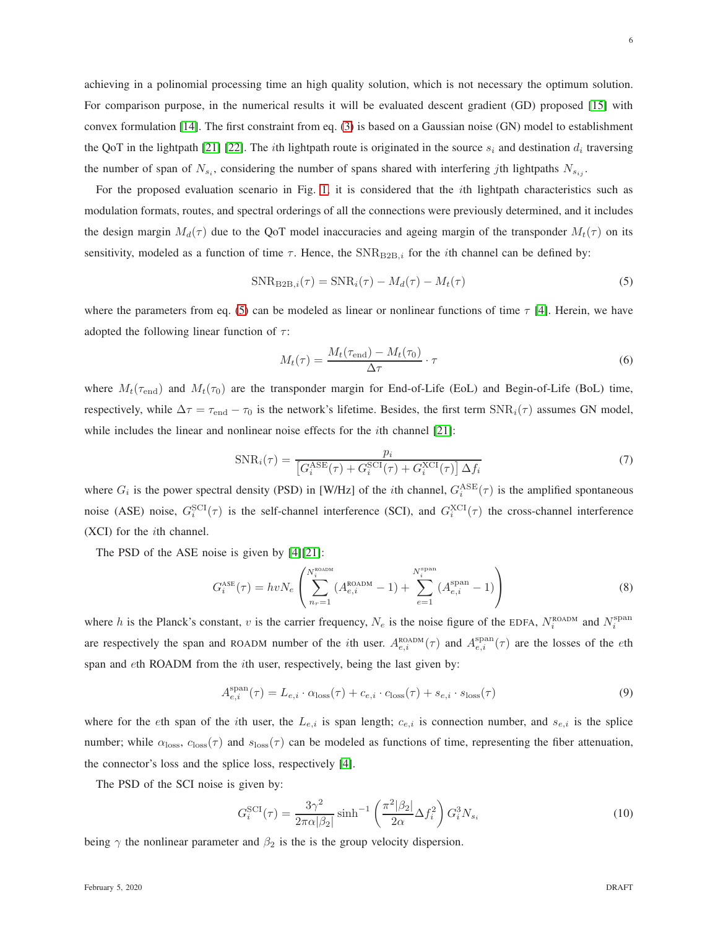achieving in a polinomial processing time an high quality solution, which is not necessary the optimum solution. For comparison purpose, in the numerical results it will be evaluated descent gradient (GD) proposed [\[15\]](#page-26-9) with convex formulation [\[14\]](#page-26-8). The first constraint from eq. [\(3\)](#page-4-1) is based on a Gaussian noise (GN) model to establishment the QoT in the lightpath [\[21\]](#page-26-15) [\[22\]](#page-26-16). The *i*th lightpath route is originated in the source  $s_i$  and destination  $d_i$  traversing the number of span of  $N_{s_i}$ , considering the number of spans shared with interfering jth lightpaths  $N_{s_{ij}}$ .

For the proposed evaluation scenario in Fig. [1,](#page-2-0) it is considered that the ith lightpath characteristics such as modulation formats, routes, and spectral orderings of all the connections were previously determined, and it includes the design margin  $M_d(\tau)$  due to the QoT model inaccuracies and ageing margin of the transponder  $M_t(\tau)$  on its sensitivity, modeled as a function of time  $\tau$ . Hence, the SNR<sub>B2B,i</sub> for the *i*th channel can be defined by:

<span id="page-5-0"></span>
$$
SNR_{B2B,i}(\tau) = SNR_i(\tau) - M_d(\tau) - M_t(\tau)
$$
\n
$$
(5)
$$

where the parameters from eq. [\(5\)](#page-5-0) can be modeled as linear or nonlinear functions of time  $\tau$  [\[4\]](#page-25-3). Herein, we have adopted the following linear function of  $\tau$ :

$$
M_t(\tau) = \frac{M_t(\tau_{\text{end}}) - M_t(\tau_0)}{\Delta \tau} \cdot \tau
$$
\n(6)

where  $M_t(\tau_{\text{end}})$  and  $M_t(\tau_0)$  are the transponder margin for End-of-Life (EoL) and Begin-of-Life (BoL) time, respectively, while  $\Delta \tau = \tau_{end} - \tau_0$  is the network's lifetime. Besides, the first term SNR<sub>i</sub>( $\tau$ ) assumes GN model, while includes the linear and nonlinear noise effects for the *i*th channel [\[21\]](#page-26-15):

$$
SNR_i(\tau) = \frac{p_i}{\left[G_i^{ASE}(\tau) + G_i^{SCI}(\tau) + G_i^{XCI}(\tau)\right] \Delta f_i}
$$
\n(7)

where  $G_i$  is the power spectral density (PSD) in [W/Hz] of the *i*th channel,  $G_i^{\text{ASE}}(\tau)$  is the amplified spontaneous noise (ASE) noise,  $G_i^{\text{SCI}}(\tau)$  is the self-channel interference (SCI), and  $G_i^{\text{XCI}}(\tau)$  the cross-channel interference (XCI) for the ith channel.

The PSD of the ASE noise is given by [\[4\]](#page-25-3)[\[21\]](#page-26-15):

<span id="page-5-1"></span>
$$
G_i^{\text{ASE}}(\tau) = hvN_e \left( \sum_{n_r=1}^{N_i^{\text{80ADM}}} (A_{e,i}^{\text{ROADM}} - 1) + \sum_{e=1}^{N_i^{\text{span}}} (A_{e,i}^{\text{span}} - 1) \right)
$$
(8)

where h is the Planck's constant, v is the carrier frequency,  $N_e$  is the noise figure of the EDFA,  $N_i^{\text{ROADM}}$  and  $N_i^{\text{span}}$ are respectively the span and ROADM number of the *i*th user.  $A_{e,i}^{ROADM}(\tau)$  and  $A_{e,i}^{span}(\tau)$  are the losses of the *eth* span and eth ROADM from the ith user, respectively, being the last given by:

<span id="page-5-2"></span>
$$
A_{e,i}^{\text{span}}(\tau) = L_{e,i} \cdot \alpha_{\text{loss}}(\tau) + c_{e,i} \cdot c_{\text{loss}}(\tau) + s_{e,i} \cdot s_{\text{loss}}(\tau)
$$
\n(9)

where for the eth span of the *i*th user, the  $L_{e,i}$  is span length;  $c_{e,i}$  is connection number, and  $s_{e,i}$  is the splice number; while  $\alpha_{\text{loss}}$ ,  $c_{\text{loss}}(\tau)$  and  $s_{\text{loss}}(\tau)$  can be modeled as functions of time, representing the fiber attenuation, the connector's loss and the splice loss, respectively [\[4\]](#page-25-3).

The PSD of the SCI noise is given by:

$$
G_i^{\text{SCI}}(\tau) = \frac{3\gamma^2}{2\pi\alpha|\beta_2|} \sinh^{-1} \left(\frac{\pi^2|\beta_2|}{2\alpha}\Delta f_i^2\right) G_i^3 N_{s_i}
$$
(10)

being  $\gamma$  the nonlinear parameter and  $\beta_2$  is the is the group velocity dispersion.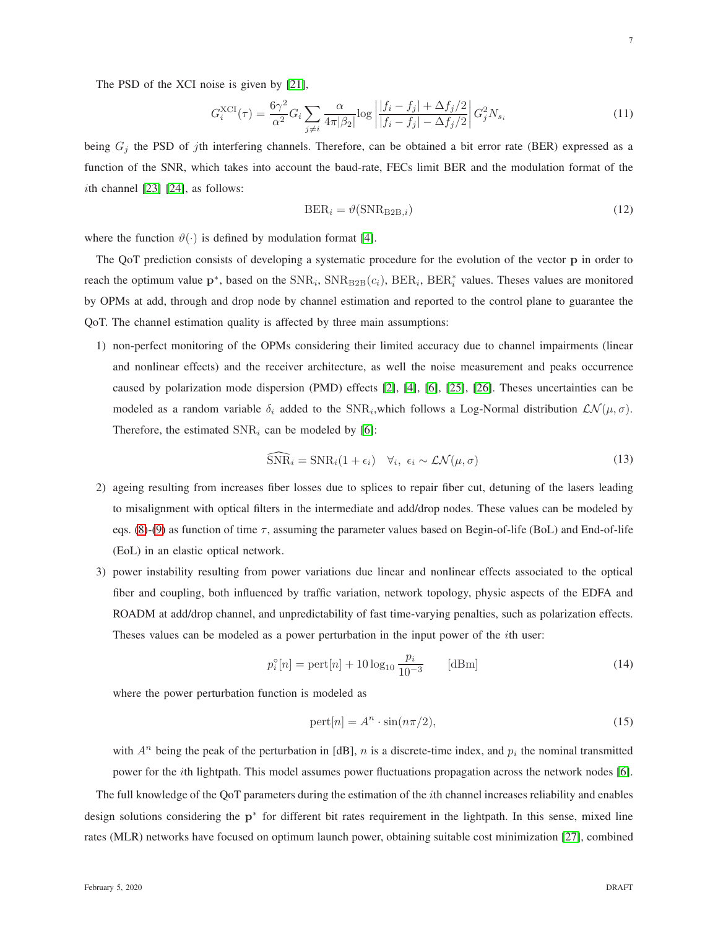The PSD of the XCI noise is given by [\[21\]](#page-26-15),

$$
G_i^{\text{XCI}}(\tau) = \frac{6\gamma^2}{\alpha^2} G_i \sum_{j \neq i} \frac{\alpha}{4\pi |\beta_2|} \log \left| \frac{|f_i - f_j| + \Delta f_j/2}{|f_i - f_j| - \Delta f_j/2} \right| G_j^2 N_{s_i}
$$
(11)

being  $G_j$  the PSD of jth interfering channels. Therefore, can be obtained a bit error rate (BER) expressed as a function of the SNR, which takes into account the baud-rate, FECs limit BER and the modulation format of the *i*th channel  $[23]$   $[24]$ , as follows:

$$
BER_i = \vartheta(\text{SNR}_{\text{B2B},i})\tag{12}
$$

where the function  $\vartheta(\cdot)$  is defined by modulation format [\[4\]](#page-25-3).

The QoT prediction consists of developing a systematic procedure for the evolution of the vector p in order to reach the optimum value  $p^*$ , based on the  $SNR_i$ ,  $SNR_{B2B}(c_i)$ ,  $BER_i$ ,  $BER_i^*$  values. Theses values are monitored by OPMs at add, through and drop node by channel estimation and reported to the control plane to guarantee the QoT. The channel estimation quality is affected by three main assumptions:

1) non-perfect monitoring of the OPMs considering their limited accuracy due to channel impairments (linear and nonlinear effects) and the receiver architecture, as well the noise measurement and peaks occurrence caused by polarization mode dispersion (PMD) effects [\[2\]](#page-25-1), [\[4\]](#page-25-3), [\[6\]](#page-26-0), [\[25\]](#page-26-19), [\[26\]](#page-26-20). Theses uncertainties can be modeled as a random variable  $\delta_i$  added to the SNR<sub>i</sub>, which follows a Log-Normal distribution  $\mathcal{LN}(\mu, \sigma)$ . Therefore, the estimated  $SNR_i$  can be modeled by [\[6\]](#page-26-0):

$$
\widehat{\text{SNR}}_i = \text{SNR}_i (1 + \epsilon_i) \quad \forall_i, \ \epsilon_i \sim \mathcal{LN}(\mu, \sigma) \tag{13}
$$

- 2) ageing resulting from increases fiber losses due to splices to repair fiber cut, detuning of the lasers leading to misalignment with optical filters in the intermediate and add/drop nodes. These values can be modeled by eqs. [\(8\)](#page-5-1)-[\(9\)](#page-5-2) as function of time  $\tau$ , assuming the parameter values based on Begin-of-life (BoL) and End-of-life (EoL) in an elastic optical network.
- 3) power instability resulting from power variations due linear and nonlinear effects associated to the optical fiber and coupling, both influenced by traffic variation, network topology, physic aspects of the EDFA and ROADM at add/drop channel, and unpredictability of fast time-varying penalties, such as polarization effects. Theses values can be modeled as a power perturbation in the input power of the ith user:

<span id="page-6-0"></span>
$$
p_i^{\circ}[n] = \text{pert}[n] + 10\log_{10}\frac{p_i}{10^{-3}} \qquad [\text{dBm}]
$$
 (14)

where the power perturbation function is modeled as

$$
pert[n] = A^n \cdot \sin(n\pi/2),\tag{15}
$$

with  $A^n$  being the peak of the perturbation in [dB], n is a discrete-time index, and  $p_i$  the nominal transmitted power for the ith lightpath. This model assumes power fluctuations propagation across the network nodes [\[6\]](#page-26-0).

The full knowledge of the QoT parameters during the estimation of the ith channel increases reliability and enables design solutions considering the p<sup>∗</sup> for different bit rates requirement in the lightpath. In this sense, mixed line rates (MLR) networks have focused on optimum launch power, obtaining suitable cost minimization [\[27\]](#page-26-21), combined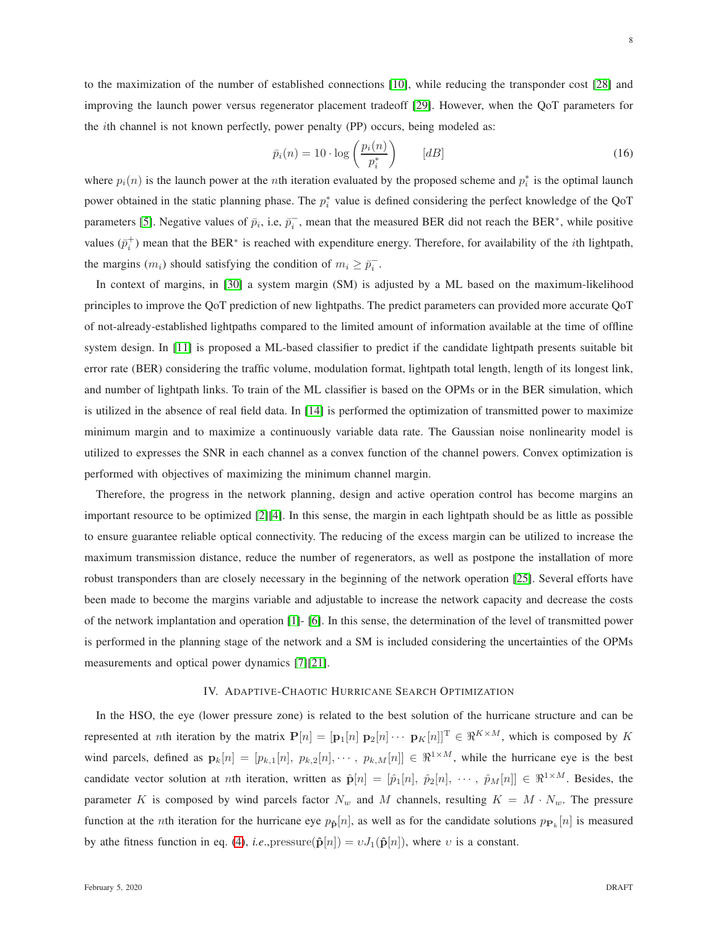improving the launch power versus regenerator placement tradeoff [\[29\]](#page-26-23). However, when the QoT parameters for the ith channel is not known perfectly, power penalty (PP) occurs, being modeled as:

$$
\bar{p}_i(n) = 10 \cdot \log\left(\frac{p_i(n)}{p_i^*}\right) \qquad [dB] \tag{16}
$$

where  $p_i(n)$  is the launch power at the *n*th iteration evaluated by the proposed scheme and  $p_i^*$  is the optimal launch power obtained in the static planning phase. The  $p_i^*$  value is defined considering the perfect knowledge of the QoT parameters [\[5\]](#page-25-4). Negative values of  $\bar{p}_i$ , i.e,  $\bar{p}_i^-$ , mean that the measured BER did not reach the BER<sup>\*</sup>, while positive values  $(\bar{p}_i^+)$  mean that the BER<sup>\*</sup> is reached with expenditure energy. Therefore, for availability of the *i*th lightpath, the margins  $(m_i)$  should satisfying the condition of  $m_i \ge \overline{p_i}$ .

In context of margins, in [\[30\]](#page-27-0) a system margin (SM) is adjusted by a ML based on the maximum-likelihood principles to improve the QoT prediction of new lightpaths. The predict parameters can provided more accurate QoT of not-already-established lightpaths compared to the limited amount of information available at the time of offline system design. In [\[11\]](#page-26-5) is proposed a ML-based classifier to predict if the candidate lightpath presents suitable bit error rate (BER) considering the traffic volume, modulation format, lightpath total length, length of its longest link, and number of lightpath links. To train of the ML classifier is based on the OPMs or in the BER simulation, which is utilized in the absence of real field data. In [\[14\]](#page-26-8) is performed the optimization of transmitted power to maximize minimum margin and to maximize a continuously variable data rate. The Gaussian noise nonlinearity model is utilized to expresses the SNR in each channel as a convex function of the channel powers. Convex optimization is performed with objectives of maximizing the minimum channel margin.

Therefore, the progress in the network planning, design and active operation control has become margins an important resource to be optimized [\[2\]](#page-25-1)[\[4\]](#page-25-3). In this sense, the margin in each lightpath should be as little as possible to ensure guarantee reliable optical connectivity. The reducing of the excess margin can be utilized to increase the maximum transmission distance, reduce the number of regenerators, as well as postpone the installation of more robust transponders than are closely necessary in the beginning of the network operation [\[25\]](#page-26-19). Several efforts have been made to become the margins variable and adjustable to increase the network capacity and decrease the costs of the network implantation and operation [\[1\]](#page-25-0)- [\[6\]](#page-26-0). In this sense, the determination of the level of transmitted power is performed in the planning stage of the network and a SM is included considering the uncertainties of the OPMs measurements and optical power dynamics [\[7\]](#page-26-1)[\[21\]](#page-26-15).

# IV. ADAPTIVE-CHAOTIC HURRICANE SEARCH OPTIMIZATION

In the HSO, the eye (lower pressure zone) is related to the best solution of the hurricane structure and can be represented at nth iteration by the matrix  $P[n] = [\mathbf{p}_1[n] \ \mathbf{p}_2[n] \cdots \ \mathbf{p}_K[n]]^T \in \mathbb{R}^{K \times M}$ , which is composed by K wind parcels, defined as  $\mathbf{p}_k[n] = [p_{k,1}[n], p_{k,2}[n], \cdots, p_{k,M}[n]] \in \mathbb{R}^{1 \times M}$ , while the hurricane eye is the best candidate vector solution at nth iteration, written as  $\hat{\mathbf{p}}[n] = [\hat{p}_1[n], \hat{p}_2[n], \cdots, \hat{p}_M[n]] \in \mathbb{R}^{1 \times M}$ . Besides, the parameter K is composed by wind parcels factor  $N_w$  and M channels, resulting  $K = M \cdot N_w$ . The pressure function at the *n*th iteration for the hurricane eye  $p_{\hat{p}}[n]$ , as well as for the candidate solutions  $p_{\mathbf{P}_k}[n]$  is measured by athe fitness function in eq. [\(4\)](#page-4-2), *i.e.*, pressure( $\hat{\mathbf{p}}[n]$ ) =  $vJ_1(\hat{\mathbf{p}}[n]$ ), where v is a constant.

8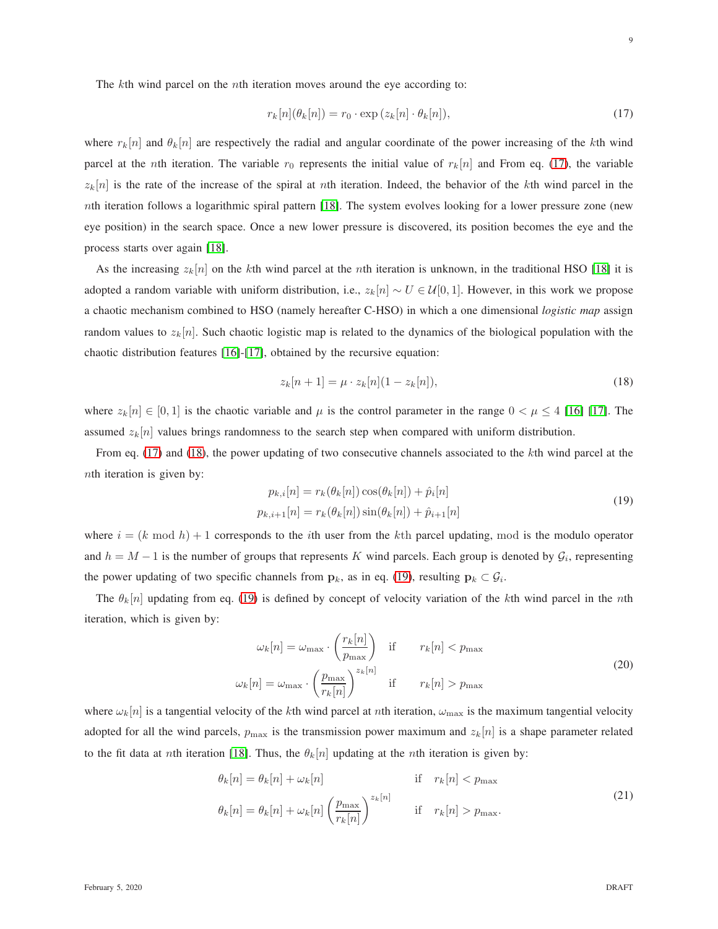The kth wind parcel on the *n*th iteration moves around the eye according to:

<span id="page-8-0"></span>
$$
r_k[n](\theta_k[n]) = r_0 \cdot \exp(z_k[n] \cdot \theta_k[n]),\tag{17}
$$

where  $r_k[n]$  and  $\theta_k[n]$  are respectively the radial and angular coordinate of the power increasing of the kth wind parcel at the *n*th iteration. The variable  $r_0$  represents the initial value of  $r_k[n]$  and From eq. [\(17\)](#page-8-0), the variable  $z_k[n]$  is the rate of the increase of the spiral at nth iteration. Indeed, the behavior of the kth wind parcel in the nth iteration follows a logarithmic spiral pattern [\[18\]](#page-26-12). The system evolves looking for a lower pressure zone (new eye position) in the search space. Once a new lower pressure is discovered, its position becomes the eye and the process starts over again [\[18\]](#page-26-12).

As the increasing  $z_k[n]$  on the kth wind parcel at the nth iteration is unknown, in the traditional HSO [\[18\]](#page-26-12) it is adopted a random variable with uniform distribution, i.e.,  $z_k[n] \sim U \in \mathcal{U}[0,1]$ . However, in this work we propose a chaotic mechanism combined to HSO (namely hereafter C-HSO) in which a one dimensional *logistic map* assign random values to  $z_k[n]$ . Such chaotic logistic map is related to the dynamics of the biological population with the chaotic distribution features [\[16\]](#page-26-10)-[\[17\]](#page-26-11), obtained by the recursive equation:

<span id="page-8-1"></span>
$$
z_k[n+1] = \mu \cdot z_k[n](1 - z_k[n]),\tag{18}
$$

where  $z_k[n] \in [0,1]$  is the chaotic variable and  $\mu$  is the control parameter in the range  $0 < \mu \leq 4$  [\[16\]](#page-26-10) [\[17\]](#page-26-11). The assumed  $z_k[n]$  values brings randomness to the search step when compared with uniform distribution.

From eq. [\(17\)](#page-8-0) and [\(18\)](#page-8-1), the power updating of two consecutive channels associated to the kth wind parcel at the nth iteration is given by:

<span id="page-8-2"></span>
$$
p_{k,i}[n] = r_k(\theta_k[n]) \cos(\theta_k[n]) + \hat{p}_i[n]
$$
  
\n
$$
p_{k,i+1}[n] = r_k(\theta_k[n]) \sin(\theta_k[n]) + \hat{p}_{i+1}[n]
$$
\n(19)

where  $i = (k \mod h) + 1$  corresponds to the *i*th user from the *k*th parcel updating, mod is the modulo operator and  $h = M - 1$  is the number of groups that represents K wind parcels. Each group is denoted by  $\mathcal{G}_i$ , representing the power updating of two specific channels from  $\mathbf{p}_k$ , as in eq. [\(19\)](#page-8-2), resulting  $\mathbf{p}_k \subset \mathcal{G}_i$ .

The  $\theta_k[n]$  updating from eq. [\(19\)](#page-8-2) is defined by concept of velocity variation of the kth wind parcel in the nth iteration, which is given by:

$$
\omega_k[n] = \omega_{\text{max}} \cdot \left(\frac{r_k[n]}{p_{\text{max}}}\right) \quad \text{if} \quad r_k[n] < p_{\text{max}}
$$
\n
$$
\omega_k[n] = \omega_{\text{max}} \cdot \left(\frac{p_{\text{max}}}{r_k[n]}\right)^{z_k[n]} \quad \text{if} \quad r_k[n] > p_{\text{max}} \tag{20}
$$

where  $\omega_k[n]$  is a tangential velocity of the kth wind parcel at nth iteration,  $\omega_{\text{max}}$  is the maximum tangential velocity adopted for all the wind parcels,  $p_{\text{max}}$  is the transmission power maximum and  $z_k[n]$  is a shape parameter related to the fit data at nth iteration [\[18\]](#page-26-12). Thus, the  $\theta_k[n]$  updating at the nth iteration is given by:

$$
\theta_k[n] = \theta_k[n] + \omega_k[n] \qquad \text{if} \quad r_k[n] < p_{\text{max}}
$$
\n
$$
\theta_k[n] = \theta_k[n] + \omega_k[n] \left(\frac{p_{\text{max}}}{r_k[n]}\right)^{z_k[n]} \qquad \text{if} \quad r_k[n] > p_{\text{max}}.\tag{21}
$$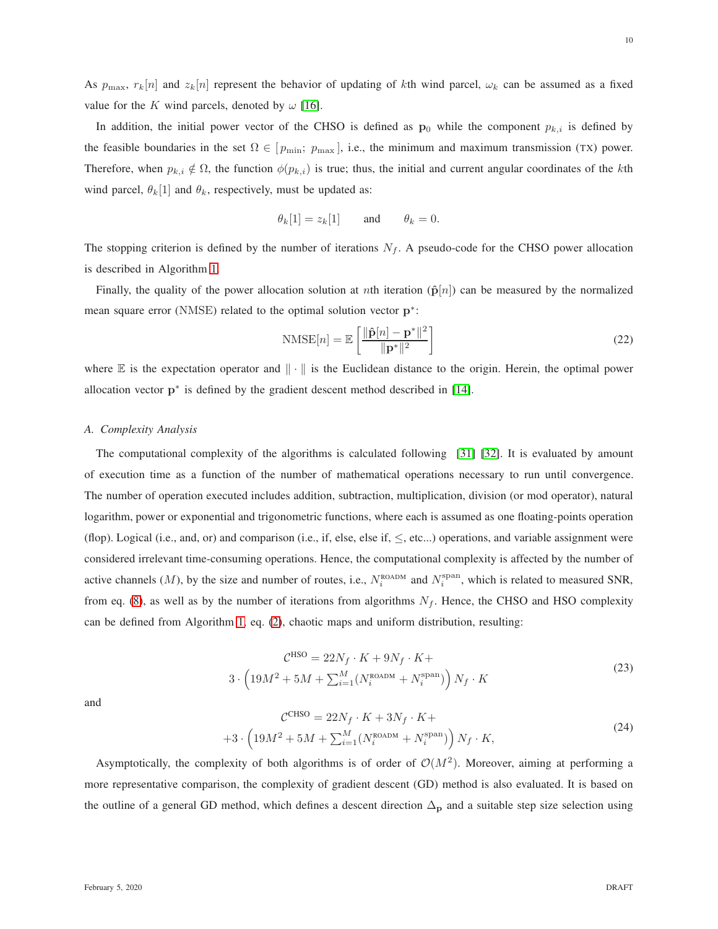As  $p_{\text{max}}$ ,  $r_k[n]$  and  $z_k[n]$  represent the behavior of updating of kth wind parcel,  $\omega_k$  can be assumed as a fixed value for the K wind parcels, denoted by  $\omega$  [\[16\]](#page-26-10).

In addition, the initial power vector of the CHSO is defined as  $\mathbf{p}_0$  while the component  $p_{k,i}$  is defined by the feasible boundaries in the set  $\Omega \in [p_{\min}; p_{\max}]$ , i.e., the minimum and maximum transmission (TX) power. Therefore, when  $p_{k,i} \notin \Omega$ , the function  $\phi(p_{k,i})$  is true; thus, the initial and current angular coordinates of the kth wind parcel,  $\theta_k[1]$  and  $\theta_k$ , respectively, must be updated as:

$$
\theta_k[1] = z_k[1] \quad \text{and} \quad \theta_k = 0.
$$

The stopping criterion is defined by the number of iterations  $N_f$ . A pseudo-code for the CHSO power allocation is described in Algorithm [1.](#page-10-0)

Finally, the quality of the power allocation solution at nth iteration ( $\hat{p}[n]$ ) can be measured by the normalized mean square error (NMSE) related to the optimal solution vector  $p^*$ :

$$
\text{NMSE}[n] = \mathbb{E}\left[\frac{\|\hat{\mathbf{p}}[n] - \mathbf{p}^*\|^2}{\|\mathbf{p}^*\|^2}\right]
$$
\n(22)

where  $\mathbb E$  is the expectation operator and  $\|\cdot\|$  is the Euclidean distance to the origin. Herein, the optimal power allocation vector  $p^*$  is defined by the gradient descent method described in [\[14\]](#page-26-8).

### <span id="page-9-0"></span>*A. Complexity Analysis*

 $\ddot{\cdot}$ 

The computational complexity of the algorithms is calculated following [\[31\]](#page-27-1) [\[32\]](#page-27-2). It is evaluated by amount of execution time as a function of the number of mathematical operations necessary to run until convergence. The number of operation executed includes addition, subtraction, multiplication, division (or mod operator), natural logarithm, power or exponential and trigonometric functions, where each is assumed as one floating-points operation (flop). Logical (i.e., and, or) and comparison (i.e., if, else, else if,  $\leq$ , etc...) operations, and variable assignment were considered irrelevant time-consuming operations. Hence, the computational complexity is affected by the number of active channels (*M*), by the size and number of routes, i.e.,  $N_i^{\text{ROADM}}$  and  $N_i^{\text{span}}$ , which is related to measured SNR, from eq. [\(8\)](#page-5-1), as well as by the number of iterations from algorithms  $N_f$ . Hence, the CHSO and HSO complexity can be defined from Algorithm [1,](#page-10-0) eq. [\(2\)](#page-4-3), chaotic maps and uniform distribution, resulting:

<span id="page-9-1"></span>
$$
\mathcal{C}^{\text{HSO}} = 22N_f \cdot K + 9N_f \cdot K +
$$
  

$$
3 \cdot \left(19M^2 + 5M + \sum_{i=1}^{M} (N_i^{\text{ROADM}} + N_i^{\text{span}})\right) N_f \cdot K
$$
 (23)

and

<span id="page-9-2"></span>
$$
C^{CHSO} = 22N_f \cdot K + 3N_f \cdot K +
$$
  
+3 \cdot \left(19M^2 + 5M + \sum\_{i=1}^{M} (N\_i^{\text{ROADM}} + N\_i^{\text{span}})\right) N\_f \cdot K, (24)

Asymptotically, the complexity of both algorithms is of order of  $\mathcal{O}(M^2)$ . Moreover, aiming at performing a more representative comparison, the complexity of gradient descent (GD) method is also evaluated. It is based on the outline of a general GD method, which defines a descent direction  $\Delta_p$  and a suitable step size selection using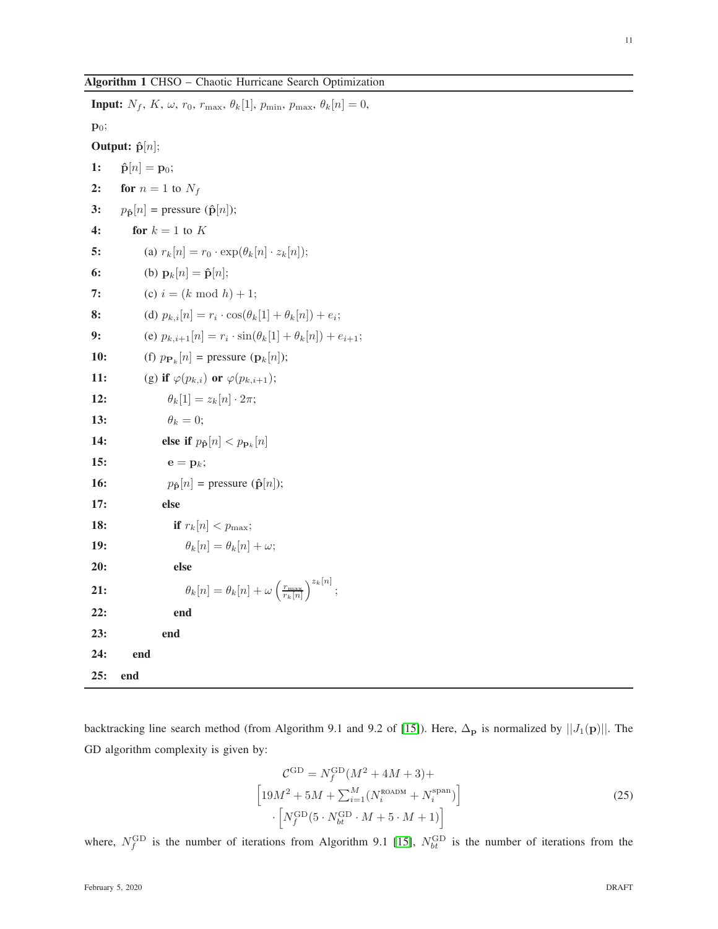# <span id="page-10-0"></span>Algorithm 1 CHSO – Chaotic Hurricane Search Optimization

**Input:**  $N_f$ ,  $K$ ,  $\omega$ ,  $r_0$ ,  $r_{\text{max}}$ ,  $\theta_k[1]$ ,  $p_{\text{min}}$ ,  $p_{\text{max}}$ ,  $\theta_k[n] = 0$ , p<sub>0</sub>; Output:  $\hat{\mathbf{p}}[n];$ 1:  $\hat{\mathbf{p}}[n] = \mathbf{p}_0;$ 2: for  $n = 1$  to  $N_f$ 3:  $p_{\hat{\mathbf{p}}}[n]$  = pressure ( $\hat{\mathbf{p}}[n]$ ); 4: for  $k = 1$  to K 5: (a)  $r_k[n] = r_0 \cdot \exp(\theta_k[n] \cdot z_k[n]);$ 6: (b)  ${\bf p}_k[n] = \hat{\bf p}[n];$ 7: (c)  $i = (k \mod h) + 1;$ **8:** (d)  $p_{k,i}[n] = r_i \cdot \cos(\theta_k[1] + \theta_k[n]) + e_i;$ 9: (e)  $p_{k,i+1}[n] = r_i \cdot \sin(\theta_k[1] + \theta_k[n]) + e_{i+1};$ **10:** (f)  $p_{\mathbf{P}_k}[n] = \text{pressure } (\mathbf{p}_k[n])$ ; 11: (g) if  $\varphi(p_{k,i})$  or  $\varphi(p_{k,i+1});$ **12:**  $\theta_k[1] = z_k[n] \cdot 2\pi;$ 13:  $\theta_k = 0;$ 14: **else if**  $p_{\hat{\mathbf{p}}} [n] < p_{\mathbf{p}_k}[n]$ 15:  $e = p_k$ ; 16:  $p_{\hat{\mathbf{p}}}[n] = \text{pressure } (\hat{\mathbf{p}}[n])$ ; 17: else **18: if**  $r_k[n] < p_{\text{max}}$ ; 19:  $\theta_k[n] = \theta_k[n] + \omega;$ 20: else 21:  $\theta_k[n] = \theta_k[n] + \omega \left(\frac{r_{\text{max}}}{r_k[n]}\right)^{z_k[n]};$ 22: end 23: end 24: end 25: end

backtracking line search method (from Algorithm 9.1 and 9.2 of [\[15\]](#page-26-9)). Here,  $\Delta_p$  is normalized by  $||J_1(p)||$ . The GD algorithm complexity is given by:

<span id="page-10-1"></span>
$$
\mathcal{C}^{\text{GD}} = N_f^{\text{GD}} (M^2 + 4M + 3) +
$$
  
\n
$$
\left[19M^2 + 5M + \sum_{i=1}^{M} (N_i^{\text{ROADM}} + N_i^{\text{span}})\right]
$$
  
\n
$$
\cdot \left[N_f^{\text{GD}}(5 \cdot N_{bt}^{\text{GD}} \cdot M + 5 \cdot M + 1)\right]
$$
 (25)

where,  $N_f^{\text{GD}}$  is the number of iterations from Algorithm 9.1 [\[15\]](#page-26-9),  $N_{bt}^{\text{GD}}$  is the number of iterations from the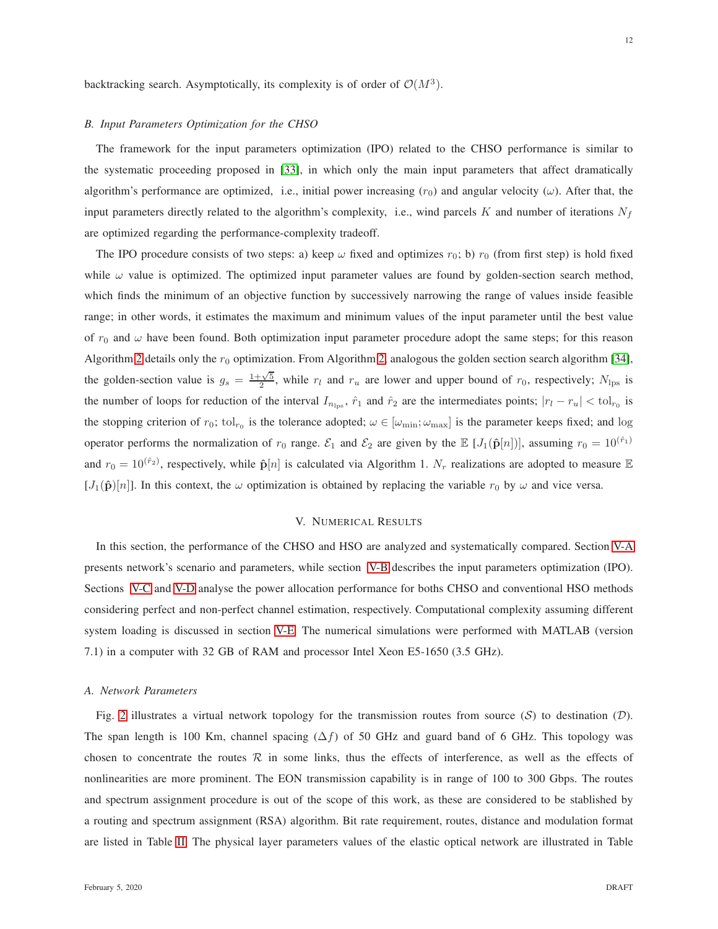<span id="page-11-1"></span>backtracking search. Asymptotically, its complexity is of order of  $\mathcal{O}(M^3)$ .

## *B. Input Parameters Optimization for the CHSO*

The framework for the input parameters optimization (IPO) related to the CHSO performance is similar to the systematic proceeding proposed in [\[33\]](#page-27-3), in which only the main input parameters that affect dramatically algorithm's performance are optimized, i.e., initial power increasing  $(r_0)$  and angular velocity ( $\omega$ ). After that, the input parameters directly related to the algorithm's complexity, i.e., wind parcels K and number of iterations  $N_f$ are optimized regarding the performance-complexity tradeoff.

The IPO procedure consists of two steps: a) keep  $\omega$  fixed and optimizes  $r_0$ ; b)  $r_0$  (from first step) is hold fixed while  $\omega$  value is optimized. The optimized input parameter values are found by golden-section search method, which finds the minimum of an objective function by successively narrowing the range of values inside feasible range; in other words, it estimates the maximum and minimum values of the input parameter until the best value of  $r_0$  and  $\omega$  have been found. Both optimization input parameter procedure adopt the same steps; for this reason Algorithm [2](#page-12-0) details only the  $r_0$  optimization. From Algorithm [2,](#page-12-0) analogous the golden section search algorithm [\[34\]](#page-27-4), the golden-section value is  $g_s = \frac{1+\sqrt{5}}{2}$ , while  $r_l$  and  $r_u$  are lower and upper bound of  $r_0$ , respectively;  $N_{\text{lps}}$  is the number of loops for reduction of the interval  $I_{n_{\text{lps}}}$ ,  $\hat{r}_1$  and  $\hat{r}_2$  are the intermediates points;  $|r_l - r_u| < \text{tol}_{r_0}$  is the stopping criterion of  $r_0$ ; tol<sub> $r_0$ </sub> is the tolerance adopted;  $\omega \in [\omega_{\min}; \omega_{\max}]$  is the parameter keeps fixed; and log operator performs the normalization of  $r_0$  range.  $\mathcal{E}_1$  and  $\mathcal{E}_2$  are given by the  $\mathbb{E}[J_1(\hat{\mathbf{p}}[n])]$ , assuming  $r_0 = 10^{(\hat{r}_1)}$ and  $r_0 = 10^{(\hat{r}_2)}$ , respectively, while  $\hat{\mathbf{p}}[n]$  is calculated via Algorithm 1.  $N_r$  realizations are adopted to measure  $\mathbb E$  $[J_1(\hat{\mathbf{p}})[n]]$ . In this context, the  $\omega$  optimization is obtained by replacing the variable  $r_0$  by  $\omega$  and vice versa.

# V. NUMERICAL RESULTS

In this section, the performance of the CHSO and HSO are analyzed and systematically compared. Section [V-A](#page-11-0) presents network's scenario and parameters, while section [V-B](#page-12-1) describes the input parameters optimization (IPO). Sections [V-C](#page-19-0) and [V-D](#page-20-0) analyse the power allocation performance for boths CHSO and conventional HSO methods considering perfect and non-perfect channel estimation, respectively. Computational complexity assuming different system loading is discussed in section [V-E.](#page-24-0) The numerical simulations were performed with MATLAB (version 7.1) in a computer with 32 GB of RAM and processor Intel Xeon E5-1650 (3.5 GHz).

## <span id="page-11-0"></span>*A. Network Parameters*

Fig. [2](#page-13-0) illustrates a virtual network topology for the transmission routes from source  $(S)$  to destination  $(D)$ . The span length is 100 Km, channel spacing  $(\Delta f)$  of 50 GHz and guard band of 6 GHz. This topology was chosen to concentrate the routes  $R$  in some links, thus the effects of interference, as well as the effects of nonlinearities are more prominent. The EON transmission capability is in range of 100 to 300 Gbps. The routes and spectrum assignment procedure is out of the scope of this work, as these are considered to be stablished by a routing and spectrum assignment (RSA) algorithm. Bit rate requirement, routes, distance and modulation format are listed in Table [II.](#page-13-1) The physical layer parameters values of the elastic optical network are illustrated in Table

12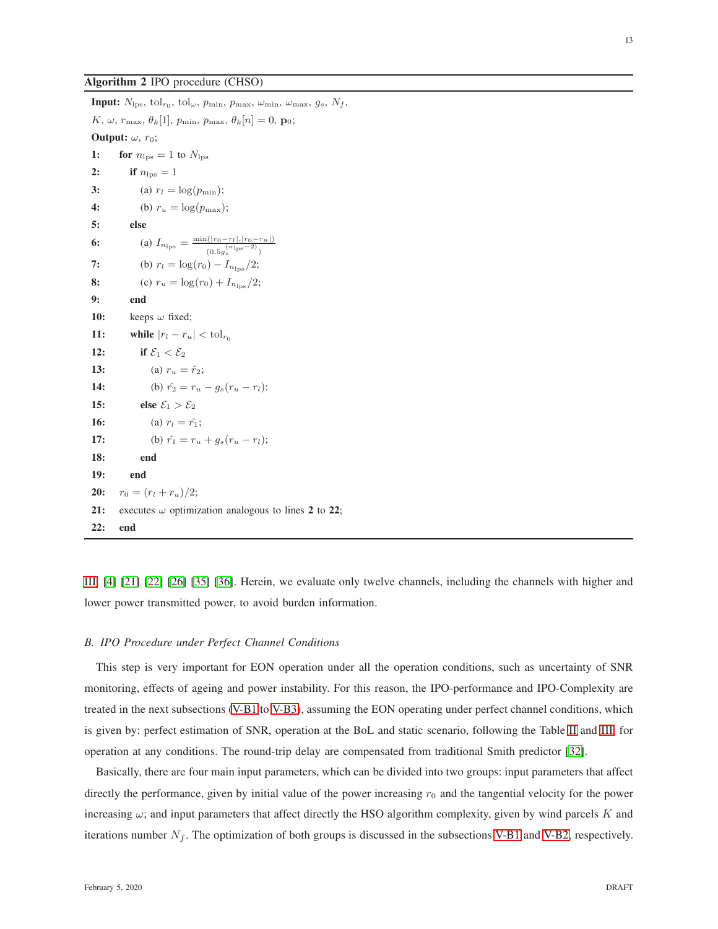## <span id="page-12-0"></span>Algorithm 2 IPO procedure (CHSO)

**Input:**  $N_{\text{lps}}, \text{tol}_{r_0}, \text{tol}_{\omega}, p_{\text{min}}, p_{\text{max}}, \omega_{\text{min}}, \omega_{\text{max}}, g_s, N_f,$ K,  $\omega$ ,  $r_{\text{max}}$ ,  $\theta_k[1]$ ,  $p_{\text{min}}$ ,  $p_{\text{max}}$ ,  $\theta_k[n] = 0$ ,  $\mathbf{p}_0$ ; **Output:**  $\omega$ ,  $r_0$ ; 1: for  $n_{\text{lps}} = 1$  to  $N_{\text{lps}}$ 2: if  $n_{\text{los}} = 1$ 3: (a)  $r_l = \log(p_{\min});$ 4: (b)  $r_u = \log(p_{\max});$ 5: else 6: (a)  $I_{n_{\text{lps}}} = \frac{\min(|r_0 - r_l|, |r_0 - r_u|)}{r_0 - r_1}$  $\frac{(n_{\text{lps}}-2)}{(0.5g_s^{(n_{\text{lps}}-2)})}$ 7: (b)  $r_l = \log(r_0) - I_{n_{\text{los}}}/2;$ 8: (c)  $r_u = \log(r_0) + I_{n_{\text{los}}}/2;$ 9: end 10: keeps  $\omega$  fixed; 11: while  $|r_l - r_u| < \text{tol}_{r_0}$ 12: if  $\mathcal{E}_1 < \mathcal{E}_2$ 13: (a)  $r_u = \hat{r}_2;$ 14: (b)  $\hat{r}_2 = r_u - q_s(r_u - r_l);$ 15: else  $\mathcal{E}_1 > \mathcal{E}_2$ 16: (a)  $r_l = \hat{r_1}$ ; 17: (b)  $\hat{r_1} = r_u + q_s(r_u - r_l);$ 18: end 19: end **20:**  $r_0 = (r_l + r_u)/2;$ 21: executes  $\omega$  optimization analogous to lines 2 to 22; 22: end

[III,](#page-14-0) [\[4\]](#page-25-3) [\[21\]](#page-26-15) [\[22\]](#page-26-16) [\[26\]](#page-26-20) [\[35\]](#page-27-5) [\[36\]](#page-27-6). Herein, we evaluate only twelve channels, including the channels with higher and lower power transmitted power, to avoid burden information.

## <span id="page-12-1"></span>*B. IPO Procedure under Perfect Channel Conditions*

This step is very important for EON operation under all the operation conditions, such as uncertainty of SNR monitoring, effects of ageing and power instability. For this reason, the IPO-performance and IPO-Complexity are treated in the next subsections [\(V-B1](#page-13-2) to [V-B3\)](#page-18-0), assuming the EON operating under perfect channel conditions, which is given by: perfect estimation of SNR, operation at the BoL and static scenario, following the Table [II](#page-13-1) and [III,](#page-14-0) for operation at any conditions. The round-trip delay are compensated from traditional Smith predictor [\[32\]](#page-27-2).

Basically, there are four main input parameters, which can be divided into two groups: input parameters that affect directly the performance, given by initial value of the power increasing  $r_0$  and the tangential velocity for the power increasing  $\omega$ ; and input parameters that affect directly the HSO algorithm complexity, given by wind parcels K and iterations number  $N_f$ . The optimization of both groups is discussed in the subsections [V-B1](#page-13-2) and [V-B2,](#page-17-0) respectively.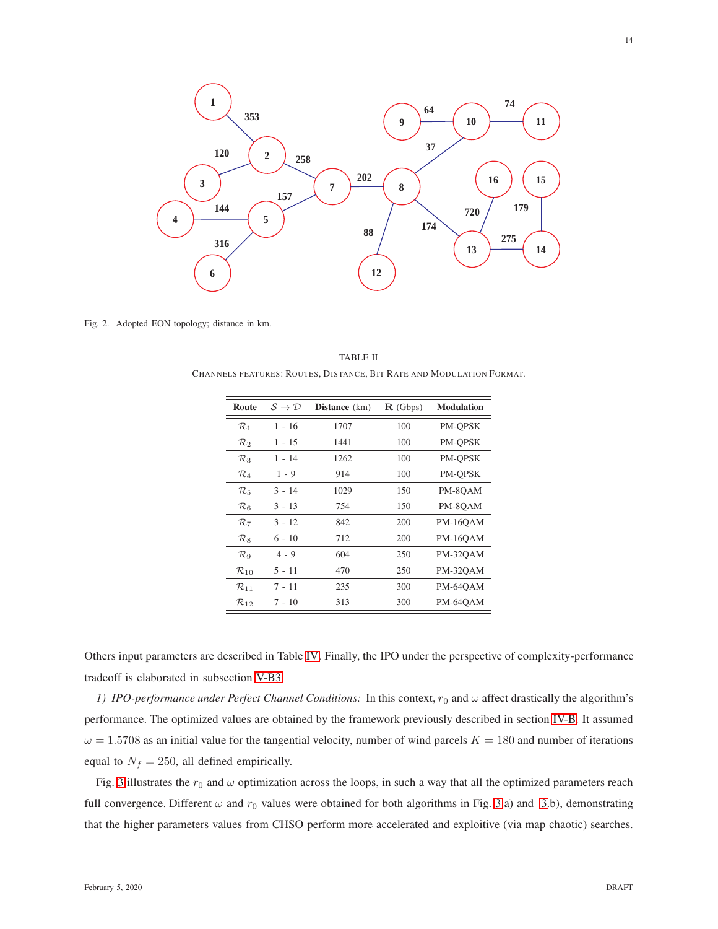

<span id="page-13-1"></span><span id="page-13-0"></span>Fig. 2. Adopted EON topology; distance in km.

TABLE II CHANNELS FEATURES: ROUTES, DISTANCE, BIT RATE AND MODULATION FORMAT.

| Route              | $\mathcal{S} \to \mathcal{D}$ | <b>Distance</b> (km) | $\mathbf{R}$ (Gbps) | <b>Modulation</b> |
|--------------------|-------------------------------|----------------------|---------------------|-------------------|
| $\mathcal{R}_1$    | $1 - 16$                      | 1707                 | 100                 | PM-OPSK           |
| $\mathcal{R}_2$    | 1 - 15                        | 1441                 | 100                 | PM-OPSK           |
| $\mathcal{R}_3$    | 1 - 14                        | 1262                 | 100                 | PM-OPSK           |
| $\mathcal{R}_4$    | $1 - 9$                       | 914                  | 100                 | PM-OPSK           |
| $\mathcal{R}_{5}$  | $3 - 14$                      | 1029                 | 150                 | PM-8OAM           |
| $\mathcal{R}_6$    | $3 - 13$                      | 754                  | 150                 | PM-8OAM           |
| $\mathcal{R}_7$    | $3 - 12$                      | 842                  | 200                 | <b>PM-16OAM</b>   |
| $\mathcal{R}_8$    | $6 - 10$                      | 712                  | 200                 | <b>PM-16OAM</b>   |
| $\mathcal{R}_{9}$  | $4 - 9$                       | 604                  | 250                 | PM-32OAM          |
| $\mathcal{R}_{10}$ | 5 - 11                        | 470                  | 250                 | PM-32OAM          |
| $\mathcal{R}_{11}$ | 7 - 11                        | 235                  | 300                 | PM-64OAM          |
| $\mathcal{R}_{12}$ | 7 - 10                        | 313                  | 300                 | PM-64OAM          |

<span id="page-13-2"></span>Others input parameters are described in Table [IV.](#page-15-0) Finally, the IPO under the perspective of complexity-performance tradeoff is elaborated in subsection [V-B3.](#page-18-0)

*1) IPO-performance under Perfect Channel Conditions:* In this context,  $r_0$  and  $\omega$  affect drastically the algorithm's performance. The optimized values are obtained by the framework previously described in section [IV-B.](#page-11-1) It assumed  $\omega = 1.5708$  as an initial value for the tangential velocity, number of wind parcels  $K = 180$  and number of iterations equal to  $N_f = 250$ , all defined empirically.

Fig. [3](#page-16-0) illustrates the  $r_0$  and  $\omega$  optimization across the loops, in such a way that all the optimized parameters reach full convergence. Different  $\omega$  and  $r_0$  values were obtained for both algorithms in Fig. [3.](#page-16-0)a) and 3.b), demonstrating that the higher parameters values from CHSO perform more accelerated and exploitive (via map chaotic) searches.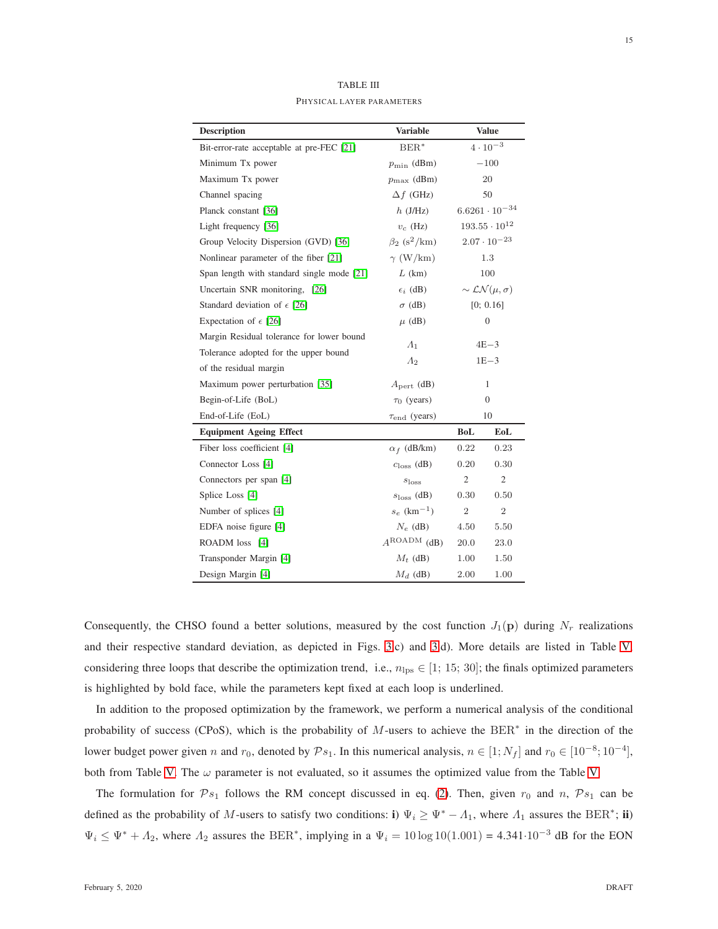<span id="page-14-0"></span>

| <b>Description</b>                         | <b>Variable</b>                     | <b>Value</b>                                |                         |
|--------------------------------------------|-------------------------------------|---------------------------------------------|-------------------------|
| Bit-error-rate acceptable at pre-FEC [21]  | $BER^*$                             |                                             | $4 \cdot 10^{-3}$       |
| Minimum Tx power                           | $p_{\min}$ (dBm)                    |                                             | $-100$                  |
| Maximum Tx power                           | $p_{\text{max}}$ (dBm)              |                                             | 20                      |
| Channel spacing                            | $\Delta f$ (GHz)                    |                                             | 50                      |
| Planck constant [36]                       | $h$ (J/Hz)                          |                                             | $6.6261 \cdot 10^{-34}$ |
| Light frequency [36]                       | $v_c$ (Hz)                          |                                             | $193.55 \cdot 10^{12}$  |
| Group Velocity Dispersion (GVD) [36]       | $\beta_2$ (s <sup>2</sup> /km)      |                                             | $2.07 \cdot 10^{-23}$   |
| Nonlinear parameter of the fiber [21]      | $\gamma$ (W/km)                     |                                             | 1.3                     |
| Span length with standard single mode [21] | $L$ (km)                            |                                             | 100                     |
| Uncertain SNR monitoring, [26]             | $\epsilon_i$ (dB)                   | $\sim$ $\mathcal{L}\mathcal{N}(\mu,\sigma)$ |                         |
| Standard deviation of $\epsilon$ [26]      | $\sigma$ (dB)                       |                                             | [0; 0.16]               |
| Expectation of $\epsilon$ [26]             | $\mu$ (dB)                          | $\overline{0}$                              |                         |
| Margin Residual tolerance for lower bound  |                                     |                                             |                         |
| Tolerance adopted for the upper bound      | $\Lambda_1$                         | $4E-3$<br>$1E - 3$                          |                         |
| of the residual margin                     | $\Lambda_2$                         |                                             |                         |
| Maximum power perturbation [35]            | $A_{\text{pert}}$ (dB)              | 1                                           |                         |
| Begin-of-Life (BoL)                        | $\tau_0$ (years)                    | $\theta$                                    |                         |
| End-of-Life (EoL)                          | $\tau_{\text{end}}$ (years)         | 10                                          |                         |
| <b>Equipment Ageing Effect</b>             |                                     | <b>BoL</b>                                  | EoL                     |
| Fiber loss coefficient [4]                 | $\alpha_f$ (dB/km)                  | 0.22                                        | 0.23                    |
| Connector Loss [4]                         | $closs$ (dB)                        | 0.20                                        | 0.30                    |
| Connectors per span [4]                    | $\mathfrak{2}$<br>$s_{\text{loss}}$ |                                             | $\mathfrak{2}$          |
| Splice Loss [4]                            | $s_{\text{loss}}$ (dB)              |                                             | 0.50                    |
| Number of splices [4]                      | $s_e$ (km <sup>-1</sup> )           | $\overline{2}$                              | $\sqrt{2}$              |
| EDFA noise figure [4]                      | $N_e$ (dB)                          | 4.50                                        | 5.50                    |
| ROADM loss [4]                             | $A^{ROADM}$ (dB)                    | 20.0                                        | 23.0                    |
| Transponder Margin [4]                     | $M_t$ (dB)                          | 1.00                                        | 1.50                    |
| Design Margin [4]                          | $M_d$ (dB)                          | 2.00                                        | 1.00                    |

TABLE III PHYSICAL LAYER PARAMETERS

Consequently, the CHSO found a better solutions, measured by the cost function  $J_1(\mathbf{p})$  during  $N_r$  realizations and their respective standard deviation, as depicted in Figs. [3.](#page-16-0)c) and [3.](#page-16-0)d). More details are listed in Table [V,](#page-15-1) considering three loops that describe the optimization trend, i.e.,  $n_{\text{lps}} \in [1; 15; 30]$ ; the finals optimized parameters is highlighted by bold face, while the parameters kept fixed at each loop is underlined.

In addition to the proposed optimization by the framework, we perform a numerical analysis of the conditional probability of success (CPoS), which is the probability of  $M$ -users to achieve the  $BER^*$  in the direction of the lower budget power given n and  $r_0$ , denoted by  $\mathcal{P}s_1$ . In this numerical analysis,  $n \in [1; N_f]$  and  $r_0 \in [10^{-8}; 10^{-4}]$ , both from Table [V.](#page-15-1) The  $\omega$  parameter is not evaluated, so it assumes the optimized value from the Table V.

The formulation for  $\mathcal{P}_{s_1}$  follows the RM concept discussed in eq. [\(2\)](#page-4-3). Then, given  $r_0$  and n,  $\mathcal{P}_{s_1}$  can be defined as the probability of M-users to satisfy two conditions: i)  $\Psi_i \ge \Psi^* - \Lambda_1$ , where  $\Lambda_1$  assures the BER<sup>\*</sup>; ii)  $\Psi_i \leq \Psi^* + A_2$ , where  $A_2$  assures the BER<sup>\*</sup>, implying in a  $\Psi_i = 10 \log 10(1.001) = 4.341 \cdot 10^{-3}$  dB for the EON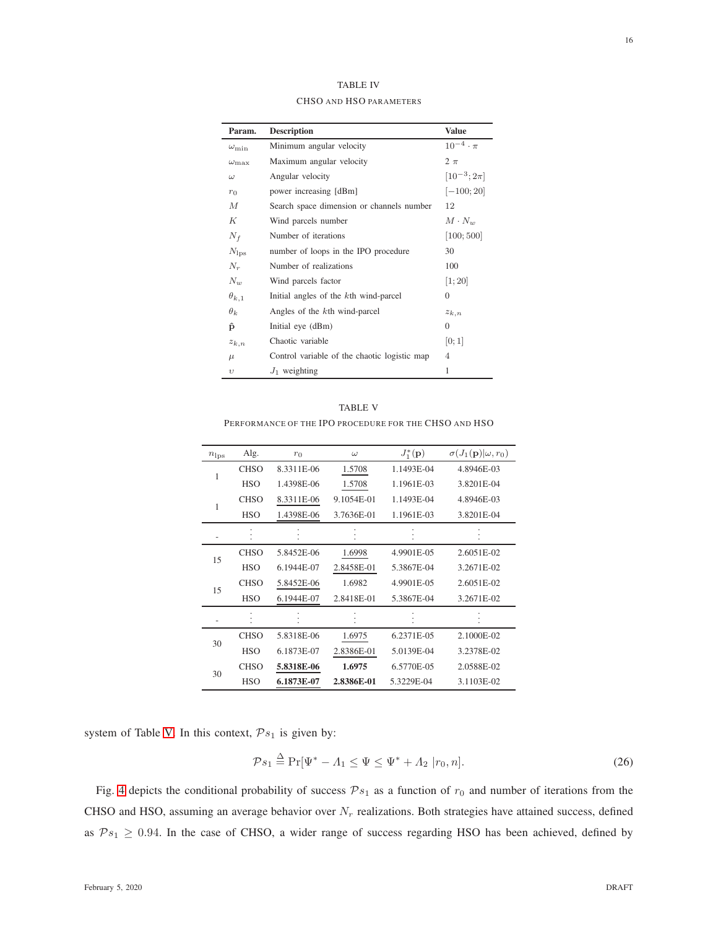| I<br>I<br>٧ |
|-------------|
|             |

<span id="page-15-0"></span>

| Param.             | <b>Description</b>                           | <b>Value</b>        |
|--------------------|----------------------------------------------|---------------------|
| $\omega_{\min}$    | Minimum angular velocity                     | $10^{-4} \cdot \pi$ |
| $\omega_{\rm max}$ | Maximum angular velocity                     | $2 \pi$             |
| $\omega$           | Angular velocity                             | $[10^{-3}; 2\pi]$   |
| $r_0$              | power increasing [dBm]                       | $[-100; 20]$        |
| M                  | Search space dimension or channels number    | 12                  |
| К                  | Wind parcels number                          | $M \cdot N_w$       |
| $N_f$              | Number of iterations                         | [100; 500]          |
| $N_{\rm los}$      | number of loops in the IPO procedure         | 30                  |
| $N_r$              | Number of realizations                       | 100                 |
| $N_w$              | Wind parcels factor                          | [1; 20]             |
| $\theta_{k,1}$     | Initial angles of the kth wind-parcel        | $\Omega$            |
| $\theta_k$         | Angles of the kth wind-parcel                | $z_{k,n}$           |
| $\hat{p}$          | Initial eye (dBm)                            | $\Omega$            |
| $z_{k,n}$          | Chaotic variable                             | [0;1]               |
| $\mu$              | Control variable of the chaotic logistic map | $\overline{4}$      |
| $\upsilon$         | $J_1$ weighting                              | 1                   |

TABLE IV CHSO AND HSO PARAMETERS

| <b>TABLE V</b>                                        |  |
|-------------------------------------------------------|--|
| PERFORMANCE OF THE IPO PROCEDURE FOR THE CHSO AND HSO |  |

<span id="page-15-1"></span>

| $n_{\rm lps}$ | Alg.        | $r_0$      | $\omega$   | $J_1^*(\mathbf{p})$ | $\sigma(J_1(\mathbf{p}) \omega,r_0)$ |
|---------------|-------------|------------|------------|---------------------|--------------------------------------|
| 1             | <b>CHSO</b> | 8.3311E-06 | 1.5708     | 1.1493E-04          | 4.8946E-03                           |
|               | <b>HSO</b>  | 1.4398E-06 | 1.5708     | 1.1961E-03          | 3.8201E-04                           |
| 1             | <b>CHSO</b> | 8.3311E-06 | 9.1054E-01 | 1.1493E-04          | 4.8946E-03                           |
|               | <b>HSO</b>  | 1.4398E-06 | 3.7636E-01 | 1.1961E-03          | 3.8201E-04                           |
|               |             |            |            |                     |                                      |
|               | <b>CHSO</b> | 5.8452E-06 | 1.6998     | 4.9901E-05          | 2.6051E-02                           |
| 15            | <b>HSO</b>  | 6.1944E-07 | 2.8458E-01 | 5.3867E-04          | 3.2671E-02                           |
| 15            | <b>CHSO</b> | 5.8452E-06 | 1.6982     | 4.9901E-05          | 2.6051E-02                           |
|               | <b>HSO</b>  | 6.1944E-07 | 2.8418E-01 | 5.3867E-04          | 3.2671E-02                           |
|               |             |            |            |                     |                                      |
| 30            | <b>CHSO</b> | 5.8318E-06 | 1.6975     | 6.2371E-05          | 2.1000E-02                           |
|               | <b>HSO</b>  | 6.1873E-07 | 2.8386E-01 | 5.0139E-04          | 3.2378E-02                           |
|               | <b>CHSO</b> | 5.8318E-06 | 1.6975     | 6.5770E-05          | 2.0588E-02                           |
| 30            | <b>HSO</b>  | 6.1873E-07 | 2.8386E-01 | 5.3229E-04          | 3.1103E-02                           |

system of Table [V.](#page-15-1) In this context,  $\mathcal{P}s_1$  is given by:

$$
\mathcal{P}s_1 \stackrel{\Delta}{=} \Pr[\Psi^* - A_1 \le \Psi \le \Psi^* + A_2 | r_0, n]. \tag{26}
$$

Fig. [4](#page-17-1) depicts the conditional probability of success  $\mathcal{P}_{s_1}$  as a function of  $r_0$  and number of iterations from the CHSO and HSO, assuming an average behavior over  $N_r$  realizations. Both strategies have attained success, defined as  $\mathcal{P}s_1 \geq 0.94$ . In the case of CHSO, a wider range of success regarding HSO has been achieved, defined by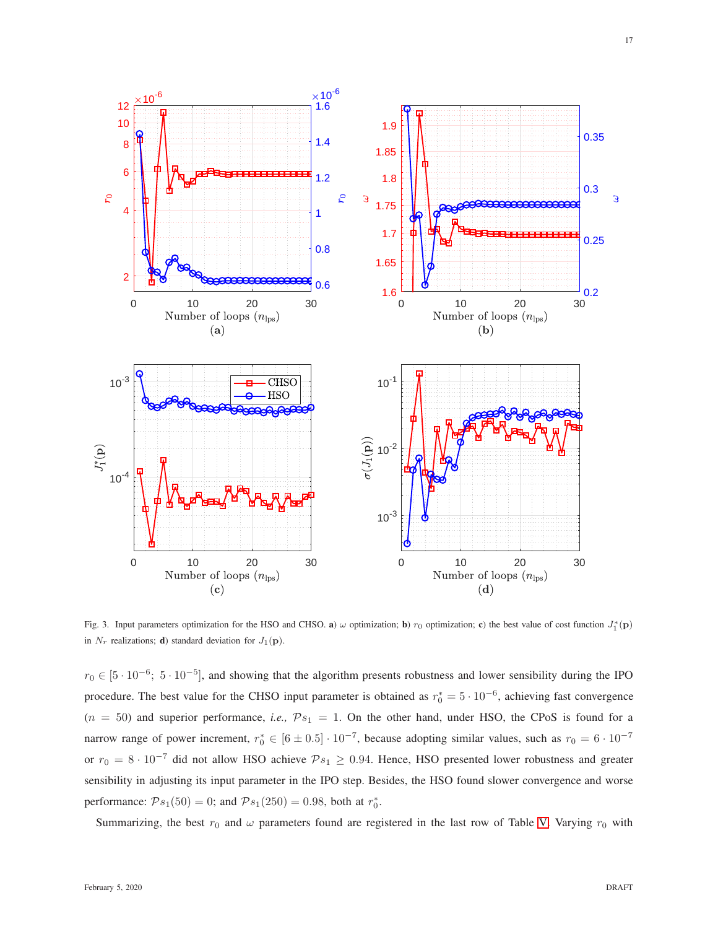

<span id="page-16-0"></span>Fig. 3. Input parameters optimization for the HSO and CHSO. **a**)  $\omega$  optimization; **b**)  $r_0$  optimization; **c**) the best value of cost function  $J_1^*(\mathbf{p})$ in  $N_r$  realizations; **d**) standard deviation for  $J_1(\mathbf{p})$ .

 $r_0 \in [5 \cdot 10^{-6}; 5 \cdot 10^{-5}]$ , and showing that the algorithm presents robustness and lower sensibility during the IPO procedure. The best value for the CHSO input parameter is obtained as  $r_0^* = 5 \cdot 10^{-6}$ , achieving fast convergence  $(n = 50)$  and superior performance, *i.e.*,  $\mathcal{P}_{s_1} = 1$ . On the other hand, under HSO, the CPoS is found for a narrow range of power increment,  $r_0^* \in [6 \pm 0.5] \cdot 10^{-7}$ , because adopting similar values, such as  $r_0 = 6 \cdot 10^{-7}$ or  $r_0 = 8 \cdot 10^{-7}$  did not allow HSO achieve  $\mathcal{P}_{s_1} \ge 0.94$ . Hence, HSO presented lower robustness and greater sensibility in adjusting its input parameter in the IPO step. Besides, the HSO found slower convergence and worse performance:  $\mathcal{P}s_1(50) = 0$ ; and  $\mathcal{P}s_1(250) = 0.98$ , both at  $r_0^*$ .

Summarizing, the best  $r_0$  and  $\omega$  parameters found are registered in the last row of Table [V.](#page-15-1) Varying  $r_0$  with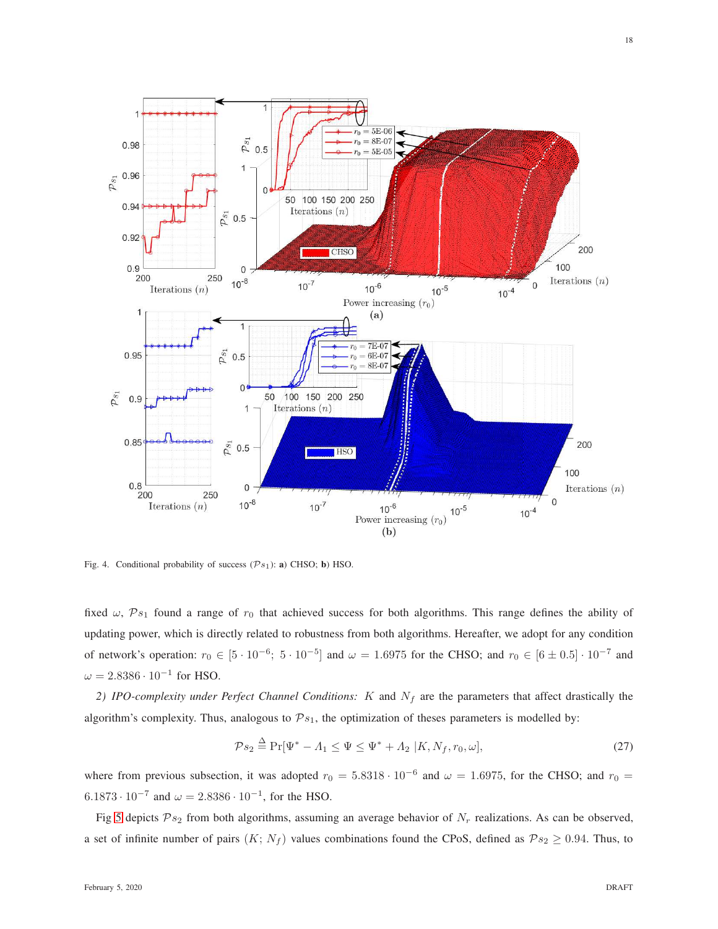

<span id="page-17-1"></span>Fig. 4. Conditional probability of success  $(\mathcal{P}s_1)$ : **a**) CHSO; **b**) HSO.

fixed  $\omega$ ,  $\mathcal{P}s_1$  found a range of  $r_0$  that achieved success for both algorithms. This range defines the ability of updating power, which is directly related to robustness from both algorithms. Hereafter, we adopt for any condition of network's operation:  $r_0 \in [5 \cdot 10^{-6}; 5 \cdot 10^{-5}]$  and  $\omega = 1.6975$  for the CHSO; and  $r_0 \in [6 \pm 0.5] \cdot 10^{-7}$  and  $\omega = 2.8386 \cdot 10^{-1}$  for HSO.

<span id="page-17-0"></span>2) IPO-complexity under Perfect Channel Conditions:  $K$  and  $N_f$  are the parameters that affect drastically the algorithm's complexity. Thus, analogous to  $\mathcal{P}s_1$ , the optimization of theses parameters is modelled by:

$$
\mathcal{P}s_2 \stackrel{\Delta}{=} \Pr[\Psi^* - A_1 \le \Psi \le \Psi^* + A_2 | K, N_f, r_0, \omega],\tag{27}
$$

where from previous subsection, it was adopted  $r_0 = 5.8318 \cdot 10^{-6}$  and  $\omega = 1.6975$ , for the CHSO; and  $r_0 =$  $6.1873 \cdot 10^{-7}$  and  $\omega = 2.8386 \cdot 10^{-1}$ , for the HSO.

Fig [5](#page-18-1) depicts  $\mathcal{P}_{s_2}$  from both algorithms, assuming an average behavior of  $N_r$  realizations. As can be observed, a set of infinite number of pairs  $(K; N_f)$  values combinations found the CPoS, defined as  $\mathcal{P}s_2 \geq 0.94$ . Thus, to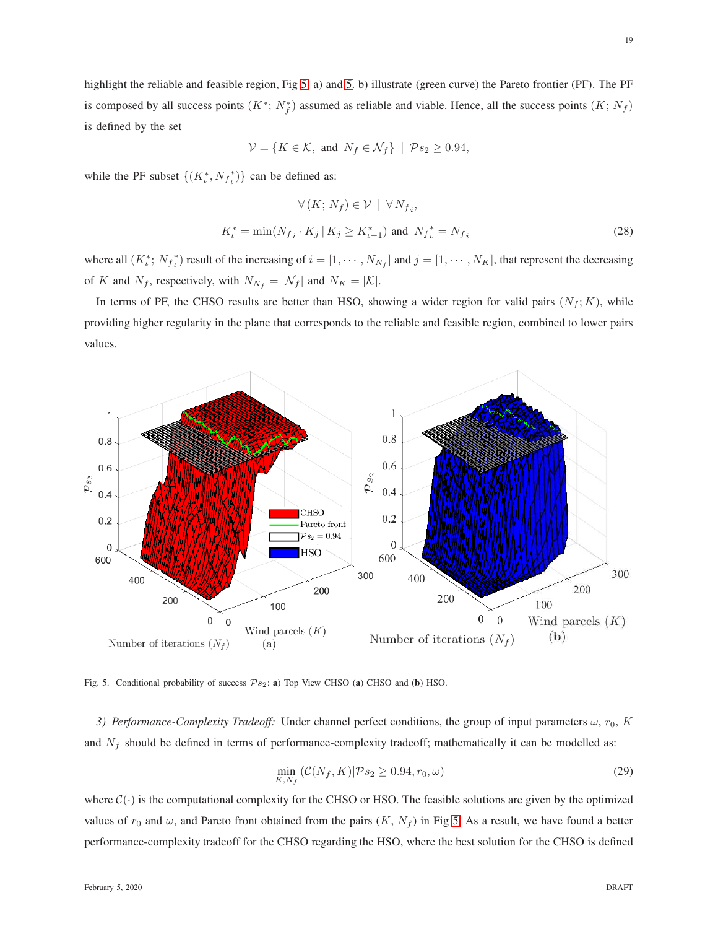highlight the reliable and feasible region, Fig [5.](#page-18-1) a) and 5. b) illustrate (green curve) the Pareto frontier (PF). The PF is composed by all success points  $(K^*; N_f^*)$  assumed as reliable and viable. Hence, all the success points  $(K; N_f)$ is defined by the set

$$
\mathcal{V} = \{ K \in \mathcal{K}, \text{ and } N_f \in \mathcal{N}_f \} \mid \mathcal{P}s_2 \ge 0.94,
$$

while the PF subset  $\{(K_t^*, N_f_t^*)\}$  can be defined as:

$$
\forall (K; N_f) \in \mathcal{V} \mid \forall N_{f_i},
$$
  

$$
K_t^* = \min(N_{f_i} \cdot K_j \mid K_j \ge K_{t-1}^*) \text{ and } N_{f_t}^* = N_{f_i}
$$
 (28)

where all  $(K_t^*, N_{f_t}^*)$  result of the increasing of  $i = [1, \dots, N_{N_f}]$  and  $j = [1, \dots, N_K]$ , that represent the decreasing of K and  $N_f$ , respectively, with  $N_{N_f} = |\mathcal{N}_f|$  and  $N_K = |\mathcal{K}|$ .

In terms of PF, the CHSO results are better than HSO, showing a wider region for valid pairs  $(N_f; K)$ , while providing higher regularity in the plane that corresponds to the reliable and feasible region, combined to lower pairs values.



<span id="page-18-1"></span><span id="page-18-0"></span>Fig. 5. Conditional probability of success  $\mathcal{P}s_2$ : a) Top View CHSO (a) CHSO and (b) HSO.

*3) Performance-Complexity Tradeoff:* Under channel perfect conditions, the group of input parameters  $ω$ ,  $r_0$ , K and  $N_f$  should be defined in terms of performance-complexity tradeoff; mathematically it can be modelled as:

$$
\min_{K,N_f} \left( \mathcal{C}(N_f, K) | \mathcal{P} s_2 \ge 0.94, r_0, \omega \right) \tag{29}
$$

where  $C(\cdot)$  is the computational complexity for the CHSO or HSO. The feasible solutions are given by the optimized values of  $r_0$  and  $\omega$ , and Pareto front obtained from the pairs  $(K, N_f)$  in Fig [5.](#page-18-1) As a result, we have found a better performance-complexity tradeoff for the CHSO regarding the HSO, where the best solution for the CHSO is defined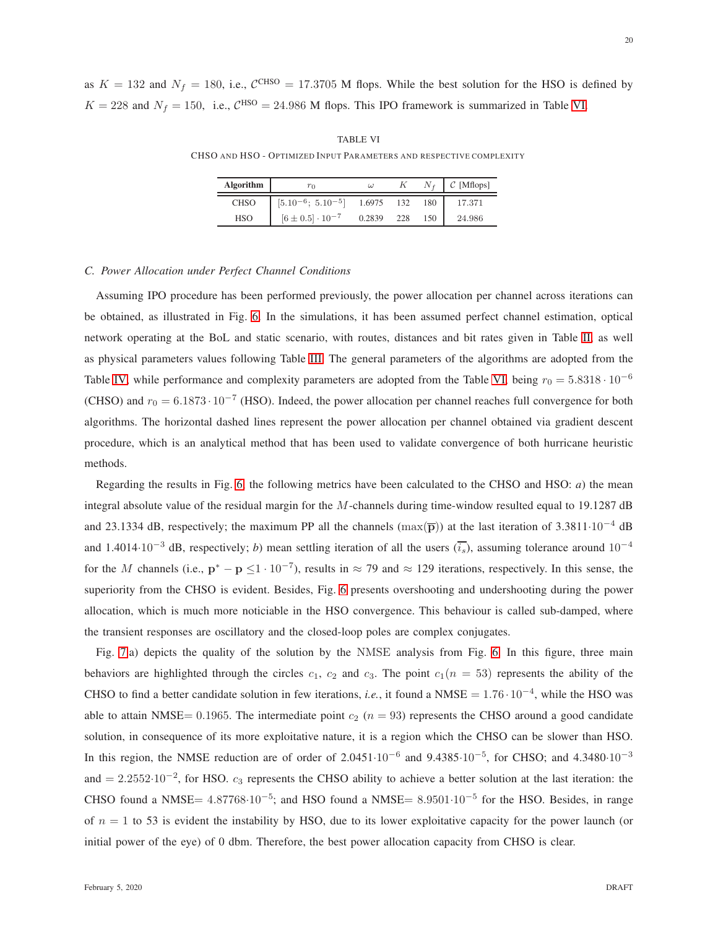<span id="page-19-1"></span>as  $K = 132$  and  $N_f = 180$ , i.e.,  $C<sup>CHSO</sup> = 17.3705$  M flops. While the best solution for the HSO is defined by  $K = 228$  and  $N_f = 150$ , i.e.,  $C^{HSO} = 24.986$  M flops. This IPO framework is summarized in Table [VI.](#page-19-1)

TABLE VI CHSO AND HSO - OPTIMIZED INPUT PARAMETERS AND RESPECTIVE COMPLEXITY

| <b>Algorithm</b> | $r_0$                       | $\omega$ |     |     | $C$ [Mflops] |
|------------------|-----------------------------|----------|-----|-----|--------------|
| <b>CHSO</b>      | $[5.10^{-6}; 5.10^{-5}]$    | 1.6975   | 132 | 180 | 17.371       |
| <b>HSO</b>       | $[6 \pm 0.5] \cdot 10^{-7}$ | 0.2839   | 228 | 150 | 24.986       |

## <span id="page-19-0"></span>*C. Power Allocation under Perfect Channel Conditions*

Assuming IPO procedure has been performed previously, the power allocation per channel across iterations can be obtained, as illustrated in Fig. [6.](#page-20-1) In the simulations, it has been assumed perfect channel estimation, optical network operating at the BoL and static scenario, with routes, distances and bit rates given in Table [II,](#page-13-1) as well as physical parameters values following Table [III.](#page-14-0) The general parameters of the algorithms are adopted from the Table [IV,](#page-15-0) while performance and complexity parameters are adopted from the Table [VI,](#page-19-1) being  $r_0 = 5.8318 \cdot 10^{-6}$ (CHSO) and  $r_0 = 6.1873 \cdot 10^{-7}$  (HSO). Indeed, the power allocation per channel reaches full convergence for both algorithms. The horizontal dashed lines represent the power allocation per channel obtained via gradient descent procedure, which is an analytical method that has been used to validate convergence of both hurricane heuristic methods.

Regarding the results in Fig. [6,](#page-20-1) the following metrics have been calculated to the CHSO and HSO: *a*) the mean integral absolute value of the residual margin for the M-channels during time-window resulted equal to 19.1287 dB and 23.1334 dB, respectively; the maximum PP all the channels (max $(\overline{p})$ ) at the last iteration of 3.3811·10<sup>-4</sup> dB and 1.4014·10<sup>-3</sup> dB, respectively; *b*) mean settling iteration of all the users  $(\overline{i_s})$ , assuming tolerance around 10<sup>-4</sup> for the M channels (i.e.,  $p^* - p \leq 1 \cdot 10^{-7}$ ), results in  $\approx 79$  and  $\approx 129$  iterations, respectively. In this sense, the superiority from the CHSO is evident. Besides, Fig. [6](#page-20-1) presents overshooting and undershooting during the power allocation, which is much more noticiable in the HSO convergence. This behaviour is called sub-damped, where the transient responses are oscillatory and the closed-loop poles are complex conjugates.

Fig. [7.](#page-21-0)a) depicts the quality of the solution by the NMSE analysis from Fig. [6.](#page-20-1) In this figure, three main behaviors are highlighted through the circles  $c_1$ ,  $c_2$  and  $c_3$ . The point  $c_1(n = 53)$  represents the ability of the CHSO to find a better candidate solution in few iterations, *i.e.*, it found a NMSE =  $1.76 \cdot 10^{-4}$ , while the HSO was able to attain NMSE= 0.1965. The intermediate point  $c_2$  ( $n = 93$ ) represents the CHSO around a good candidate solution, in consequence of its more exploitative nature, it is a region which the CHSO can be slower than HSO. In this region, the NMSE reduction are of order of 2.0451 $\cdot 10^{-6}$  and 9.4385 $\cdot 10^{-5}$ , for CHSO; and 4.3480 $\cdot 10^{-3}$ and  $= 2.2552 \cdot 10^{-2}$ , for HSO.  $c_3$  represents the CHSO ability to achieve a better solution at the last iteration: the CHSO found a NMSE=  $4.87768 \cdot 10^{-5}$ ; and HSO found a NMSE=  $8.9501 \cdot 10^{-5}$  for the HSO. Besides, in range of  $n = 1$  to 53 is evident the instability by HSO, due to its lower exploitative capacity for the power launch (or initial power of the eye) of 0 dbm. Therefore, the best power allocation capacity from CHSO is clear.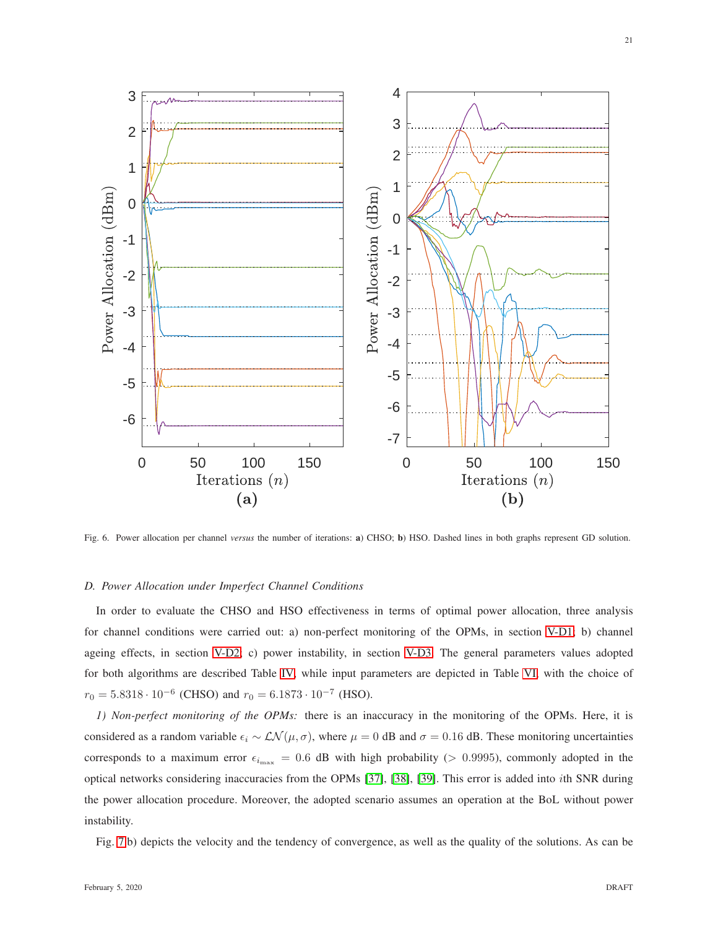

<span id="page-20-1"></span>Fig. 6. Power allocation per channel *versus* the number of iterations: a) CHSO; b) HSO. Dashed lines in both graphs represent GD solution.

## <span id="page-20-0"></span>*D. Power Allocation under Imperfect Channel Conditions*

In order to evaluate the CHSO and HSO effectiveness in terms of optimal power allocation, three analysis for channel conditions were carried out: a) non-perfect monitoring of the OPMs, in section [V-D1;](#page-20-2) b) channel ageing effects, in section [V-D2;](#page-22-0) c) power instability, in section [V-D3.](#page-23-0) The general parameters values adopted for both algorithms are described Table [IV,](#page-15-0) while input parameters are depicted in Table [VI,](#page-19-1) with the choice of  $r_0 = 5.8318 \cdot 10^{-6}$  (CHSO) and  $r_0 = 6.1873 \cdot 10^{-7}$  (HSO).

<span id="page-20-2"></span>*1) Non-perfect monitoring of the OPMs:* there is an inaccuracy in the monitoring of the OPMs. Here, it is considered as a random variable  $\epsilon_i \sim \mathcal{LN}(\mu, \sigma)$ , where  $\mu = 0$  dB and  $\sigma = 0.16$  dB. These monitoring uncertainties corresponds to a maximum error  $\epsilon_{i_{\text{max}}} = 0.6$  dB with high probability (> 0.9995), commonly adopted in the optical networks considering inaccuracies from the OPMs [\[37\]](#page-27-7), [\[38\]](#page-27-8), [\[39\]](#page-27-9). This error is added into ith SNR during the power allocation procedure. Moreover, the adopted scenario assumes an operation at the BoL without power instability.

Fig. [7.](#page-21-0)b) depicts the velocity and the tendency of convergence, as well as the quality of the solutions. As can be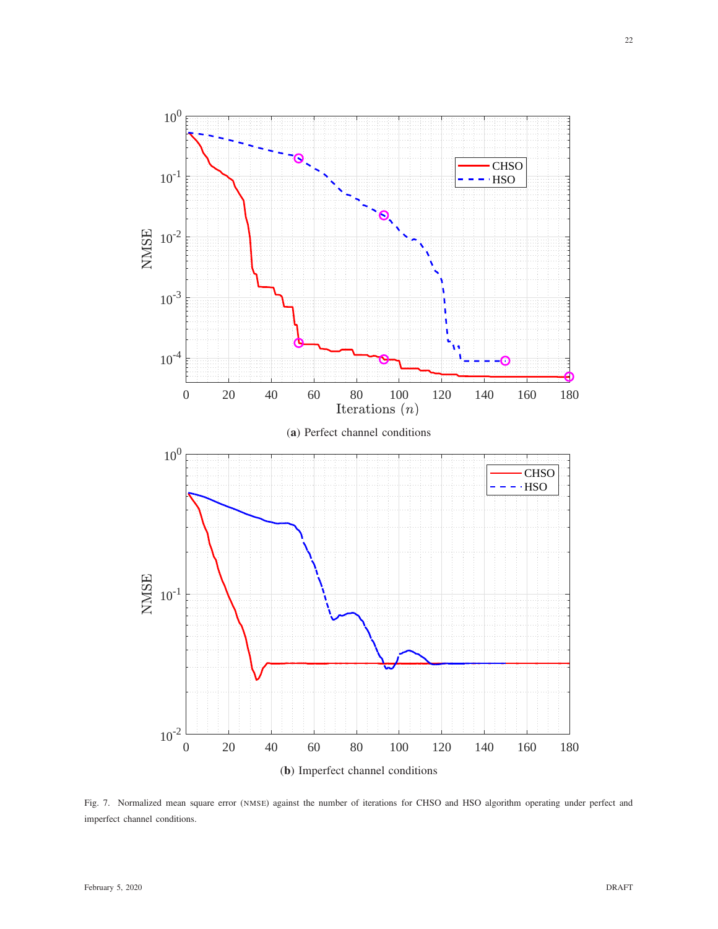

<span id="page-21-0"></span>Fig. 7. Normalized mean square error (NMSE) against the number of iterations for CHSO and HSO algorithm operating under perfect and imperfect channel conditions.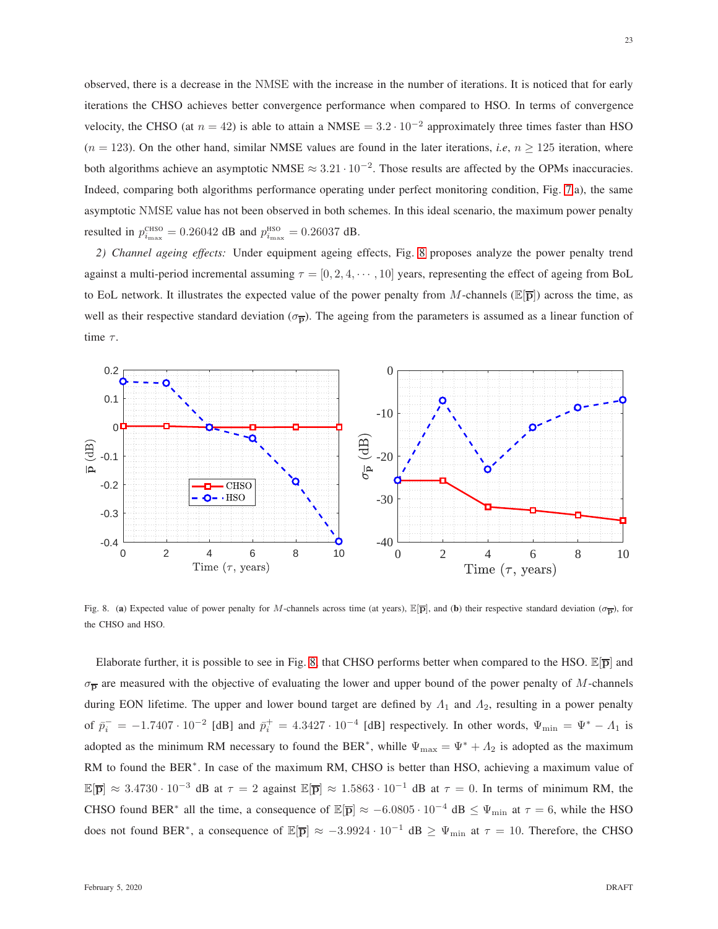observed, there is a decrease in the NMSE with the increase in the number of iterations. It is noticed that for early iterations the CHSO achieves better convergence performance when compared to HSO. In terms of convergence velocity, the CHSO (at  $n = 42$ ) is able to attain a NMSE =  $3.2 \cdot 10^{-2}$  approximately three times faster than HSO  $(n = 123)$ . On the other hand, similar NMSE values are found in the later iterations, *i.e.*,  $n \ge 125$  iteration, where both algorithms achieve an asymptotic NMSE  $\approx 3.21 \cdot 10^{-2}$ . Those results are affected by the OPMs inaccuracies. Indeed, comparing both algorithms performance operating under perfect monitoring condition, Fig. [7.](#page-21-0)a), the same asymptotic NMSE value has not been observed in both schemes. In this ideal scenario, the maximum power penalty resulted in  $p_{i_{\text{max}}}^{\text{CHSO}} = 0.26042$  dB and  $p_{i_{\text{max}}}^{\text{HSO}} = 0.26037$  dB.

<span id="page-22-0"></span>*2) Channel ageing effects:* Under equipment ageing effects, Fig. [8](#page-22-1) proposes analyze the power penalty trend against a multi-period incremental assuming  $\tau = [0, 2, 4, \cdots, 10]$  years, representing the effect of ageing from BoL to EoL network. It illustrates the expected value of the power penalty from M-channels ( $\mathbb{E}[\overline{p}]$ ) across the time, as well as their respective standard deviation ( $\sigma_{\overline{p}}$ ). The ageing from the parameters is assumed as a linear function of time  $\tau$ .



<span id="page-22-1"></span>Fig. 8. (a) Expected value of power penalty for M-channels across time (at years),  $\mathbb{E}[\overline{p}]$ , and (b) their respective standard deviation ( $\sigma_{\overline{p}}$ ), for the CHSO and HSO.

Elaborate further, it is possible to see in Fig. [8,](#page-22-1) that CHSO performs better when compared to the HSO.  $\mathbb{E}[\bar{p}]$  and  $\sigma_{\overline{p}}$  are measured with the objective of evaluating the lower and upper bound of the power penalty of M-channels during EON lifetime. The upper and lower bound target are defined by  $\Lambda_1$  and  $\Lambda_2$ , resulting in a power penalty of  $\bar{p}_i^- = -1.7407 \cdot 10^{-2}$  [dB] and  $\bar{p}_i^+ = 4.3427 \cdot 10^{-4}$  [dB] respectively. In other words,  $\Psi_{\min} = \Psi^* - \Lambda_1$  is adopted as the minimum RM necessary to found the BER<sup>\*</sup>, whille  $\Psi_{\text{max}} = \Psi^* + A_2$  is adopted as the maximum RM to found the BER<sup>∗</sup>. In case of the maximum RM, CHSO is better than HSO, achieving a maximum value of  $\mathbb{E}[\overline{p}] \approx 3.4730 \cdot 10^{-3}$  dB at  $\tau = 2$  against  $\mathbb{E}[\overline{p}] \approx 1.5863 \cdot 10^{-1}$  dB at  $\tau = 0$ . In terms of minimum RM, the CHSO found BER<sup>\*</sup> all the time, a consequence of  $\mathbb{E}[\bar{p}] \approx -6.0805 \cdot 10^{-4}$  dB  $\leq \Psi_{\text{min}}$  at  $\tau = 6$ , while the HSO does not found BER<sup>\*</sup>, a consequence of  $\mathbb{E}[\bar{\mathbf{p}}] \approx -3.9924 \cdot 10^{-1}$  dB  $\geq \Psi_{\text{min}}$  at  $\tau = 10$ . Therefore, the CHSO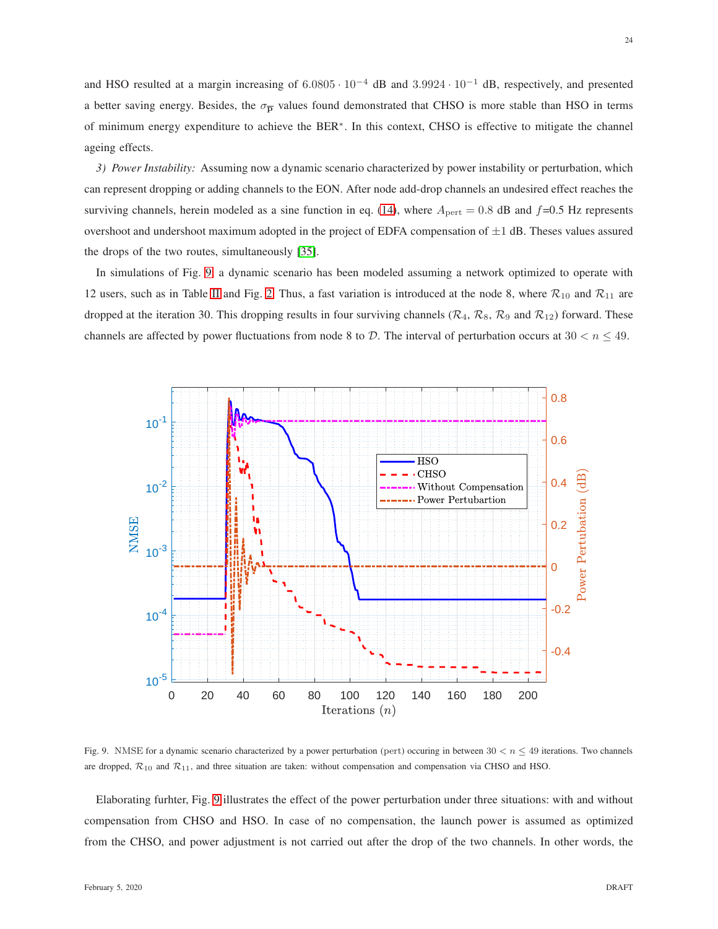and HSO resulted at a margin increasing of 6.0805 · 10−<sup>4</sup> dB and 3.9924 · 10−<sup>1</sup> dB, respectively, and presented a better saving energy. Besides, the  $\sigma_{\overline{p}}$  values found demonstrated that CHSO is more stable than HSO in terms of minimum energy expenditure to achieve the BER∗ . In this context, CHSO is effective to mitigate the channel ageing effects.

<span id="page-23-0"></span>*3) Power Instability:* Assuming now a dynamic scenario characterized by power instability or perturbation, which can represent dropping or adding channels to the EON. After node add-drop channels an undesired effect reaches the surviving channels, herein modeled as a sine function in eq. [\(14\)](#page-6-0), where  $A_{\text{pert}} = 0.8$  dB and  $f=0.5$  Hz represents overshoot and undershoot maximum adopted in the project of EDFA compensation of  $\pm 1$  dB. Theses values assured the drops of the two routes, simultaneously [\[35\]](#page-27-5).

In simulations of Fig. [9,](#page-23-1) a dynamic scenario has been modeled assuming a network optimized to operate with 12 users, such as in Table [II](#page-13-1) and Fig. [2.](#page-13-0) Thus, a fast variation is introduced at the node 8, where  $\mathcal{R}_{10}$  and  $\mathcal{R}_{11}$  are dropped at the iteration 30. This dropping results in four surviving channels ( $\mathcal{R}_4$ ,  $\mathcal{R}_8$ ,  $\mathcal{R}_9$  and  $\mathcal{R}_{12}$ ) forward. These channels are affected by power fluctuations from node 8 to D. The interval of perturbation occurs at  $30 < n \leq 49$ .



<span id="page-23-1"></span>Fig. 9. NMSE for a dynamic scenario characterized by a power perturbation (pert) occuring in between  $30 < n \leq 49$  iterations. Two channels are dropped,  $\mathcal{R}_{10}$  and  $\mathcal{R}_{11}$ , and three situation are taken: without compensation and compensation via CHSO and HSO.

Elaborating furhter, Fig. [9](#page-23-1) illustrates the effect of the power perturbation under three situations: with and without compensation from CHSO and HSO. In case of no compensation, the launch power is assumed as optimized from the CHSO, and power adjustment is not carried out after the drop of the two channels. In other words, the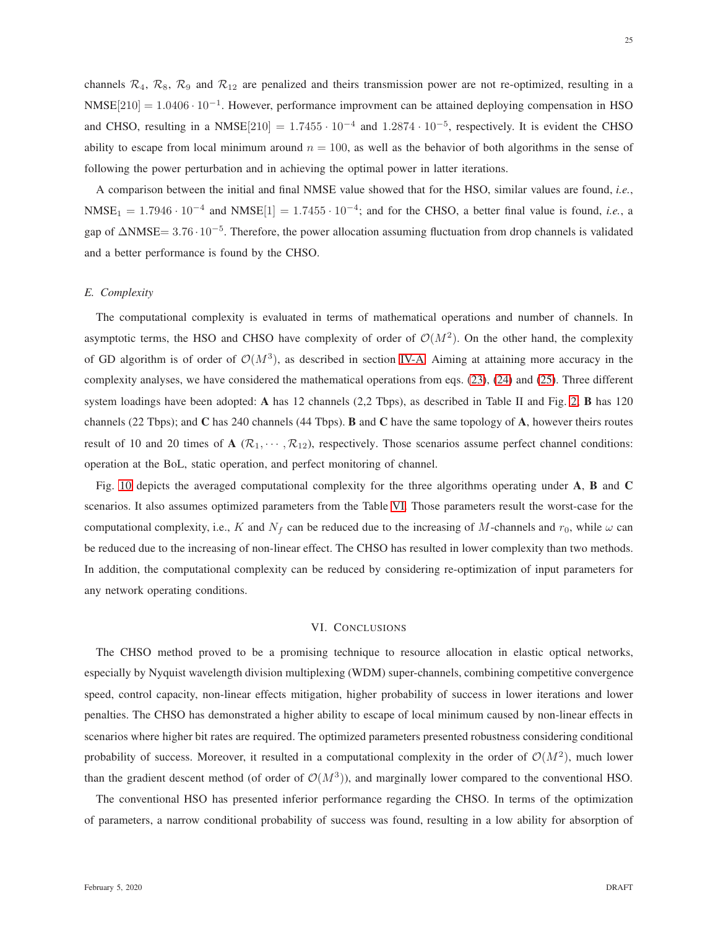$NMSE[210] = 1.0406 \cdot 10^{-1}$ . However, performance improvment can be attained deploying compensation in HSO and CHSO, resulting in a NMSE $[210] = 1.7455 \cdot 10^{-4}$  and  $1.2874 \cdot 10^{-5}$ , respectively. It is evident the CHSO ability to escape from local minimum around  $n = 100$ , as well as the behavior of both algorithms in the sense of following the power perturbation and in achieving the optimal power in latter iterations.

A comparison between the initial and final NMSE value showed that for the HSO, similar values are found, *i.e.*,  $NMSE_1 = 1.7946 \cdot 10^{-4}$  and  $NMSE[1] = 1.7455 \cdot 10^{-4}$ ; and for the CHSO, a better final value is found, *i.e.*, a gap of ∆NMSE= 3.76 · 10<sup>-5</sup>. Therefore, the power allocation assuming fluctuation from drop channels is validated and a better performance is found by the CHSO.

# <span id="page-24-0"></span>*E. Complexity*

The computational complexity is evaluated in terms of mathematical operations and number of channels. In asymptotic terms, the HSO and CHSO have complexity of order of  $\mathcal{O}(M^2)$ . On the other hand, the complexity of GD algorithm is of order of  $\mathcal{O}(M^3)$ , as described in section [IV-A.](#page-9-0) Aiming at attaining more accuracy in the complexity analyses, we have considered the mathematical operations from eqs. [\(23\)](#page-9-1), [\(24\)](#page-9-2) and [\(25\)](#page-10-1). Three different system loadings have been adopted: A has 12 channels (2,2 Tbps), as described in Table II and Fig. [2;](#page-13-0) **B** has 120 channels (22 Tbps); and  $\bf{C}$  has 240 channels (44 Tbps).  $\bf{B}$  and  $\bf{C}$  have the same topology of  $\bf{A}$ , however theirs routes result of 10 and 20 times of A ( $\mathcal{R}_1, \dots, \mathcal{R}_{12}$ ), respectively. Those scenarios assume perfect channel conditions: operation at the BoL, static operation, and perfect monitoring of channel.

Fig. [10](#page-25-5) depicts the averaged computational complexity for the three algorithms operating under A, B and C scenarios. It also assumes optimized parameters from the Table [VI.](#page-19-1) Those parameters result the worst-case for the computational complexity, i.e., K and  $N_f$  can be reduced due to the increasing of M-channels and  $r_0$ , while  $\omega$  can be reduced due to the increasing of non-linear effect. The CHSO has resulted in lower complexity than two methods. In addition, the computational complexity can be reduced by considering re-optimization of input parameters for any network operating conditions.

## VI. CONCLUSIONS

The CHSO method proved to be a promising technique to resource allocation in elastic optical networks, especially by Nyquist wavelength division multiplexing (WDM) super-channels, combining competitive convergence speed, control capacity, non-linear effects mitigation, higher probability of success in lower iterations and lower penalties. The CHSO has demonstrated a higher ability to escape of local minimum caused by non-linear effects in scenarios where higher bit rates are required. The optimized parameters presented robustness considering conditional probability of success. Moreover, it resulted in a computational complexity in the order of  $\mathcal{O}(M^2)$ , much lower than the gradient descent method (of order of  $\mathcal{O}(M^3)$ ), and marginally lower compared to the conventional HSO.

The conventional HSO has presented inferior performance regarding the CHSO. In terms of the optimization of parameters, a narrow conditional probability of success was found, resulting in a low ability for absorption of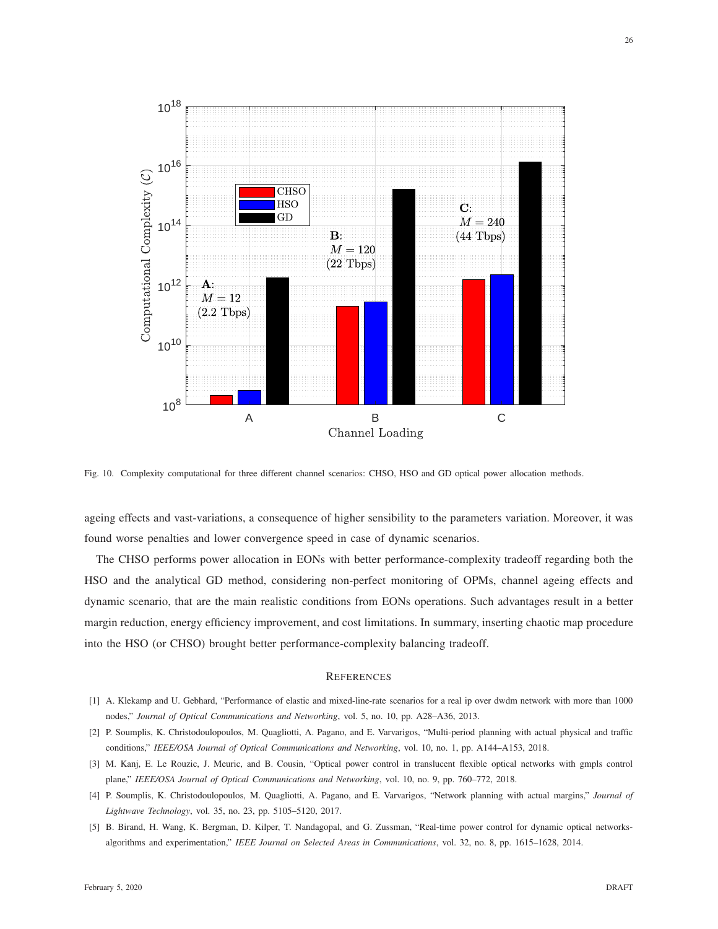

<span id="page-25-5"></span>Fig. 10. Complexity computational for three different channel scenarios: CHSO, HSO and GD optical power allocation methods.

ageing effects and vast-variations, a consequence of higher sensibility to the parameters variation. Moreover, it was found worse penalties and lower convergence speed in case of dynamic scenarios.

The CHSO performs power allocation in EONs with better performance-complexity tradeoff regarding both the HSO and the analytical GD method, considering non-perfect monitoring of OPMs, channel ageing effects and dynamic scenario, that are the main realistic conditions from EONs operations. Such advantages result in a better margin reduction, energy efficiency improvement, and cost limitations. In summary, inserting chaotic map procedure into the HSO (or CHSO) brought better performance-complexity balancing tradeoff.

### **REFERENCES**

- <span id="page-25-1"></span><span id="page-25-0"></span>[1] A. Klekamp and U. Gebhard, "Performance of elastic and mixed-line-rate scenarios for a real ip over dwdm network with more than 1000 nodes," *Journal of Optical Communications and Networking*, vol. 5, no. 10, pp. A28–A36, 2013.
- <span id="page-25-2"></span>[2] P. Soumplis, K. Christodoulopoulos, M. Quagliotti, A. Pagano, and E. Varvarigos, "Multi-period planning with actual physical and traffic conditions," *IEEE/OSA Journal of Optical Communications and Networking*, vol. 10, no. 1, pp. A144–A153, 2018.
- <span id="page-25-3"></span>[3] M. Kanj, E. Le Rouzic, J. Meuric, and B. Cousin, "Optical power control in translucent flexible optical networks with gmpls control plane," *IEEE/OSA Journal of Optical Communications and Networking*, vol. 10, no. 9, pp. 760–772, 2018.
- <span id="page-25-4"></span>[4] P. Soumplis, K. Christodoulopoulos, M. Quagliotti, A. Pagano, and E. Varvarigos, "Network planning with actual margins," *Journal of Lightwave Technology*, vol. 35, no. 23, pp. 5105–5120, 2017.
- [5] B. Birand, H. Wang, K. Bergman, D. Kilper, T. Nandagopal, and G. Zussman, "Real-time power control for dynamic optical networksalgorithms and experimentation," *IEEE Journal on Selected Areas in Communications*, vol. 32, no. 8, pp. 1615–1628, 2014.

26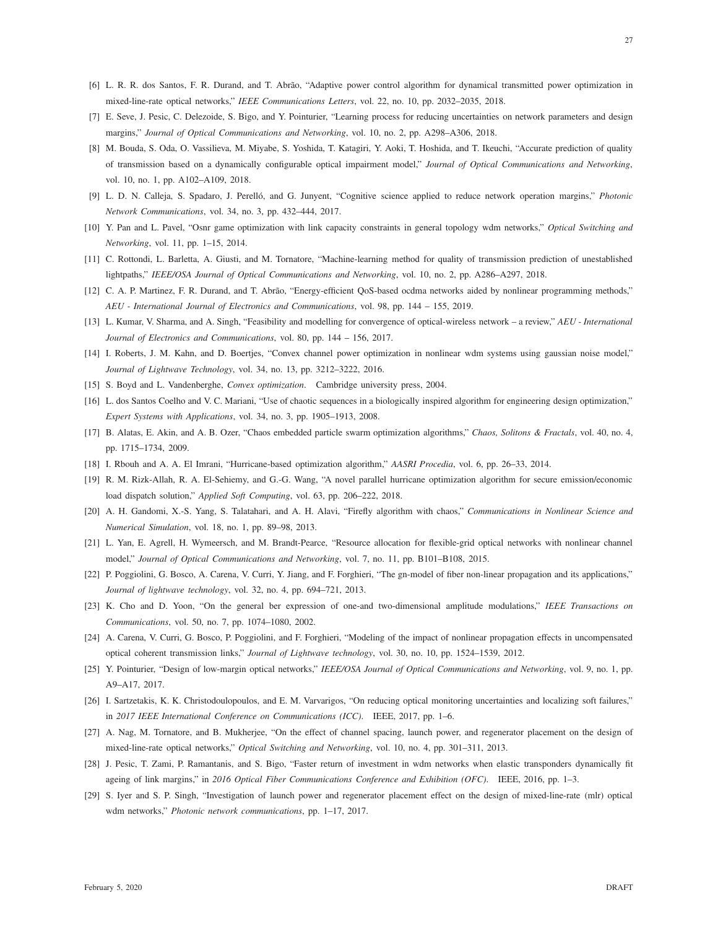- <span id="page-26-1"></span><span id="page-26-0"></span>[6] L. R. R. dos Santos, F. R. Durand, and T. Abrão, "Adaptive power control algorithm for dynamical transmitted power optimization in mixed-line-rate optical networks," *IEEE Communications Letters*, vol. 22, no. 10, pp. 2032–2035, 2018.
- <span id="page-26-2"></span>[7] E. Seve, J. Pesic, C. Delezoide, S. Bigo, and Y. Pointurier, "Learning process for reducing uncertainties on network parameters and design margins," *Journal of Optical Communications and Networking*, vol. 10, no. 2, pp. A298–A306, 2018.
- [8] M. Bouda, S. Oda, O. Vassilieva, M. Miyabe, S. Yoshida, T. Katagiri, Y. Aoki, T. Hoshida, and T. Ikeuchi, "Accurate prediction of quality of transmission based on a dynamically configurable optical impairment model," *Journal of Optical Communications and Networking*, vol. 10, no. 1, pp. A102–A109, 2018.
- <span id="page-26-4"></span><span id="page-26-3"></span>[9] L. D. N. Calleja, S. Spadaro, J. Perelló, and G. Junyent, "Cognitive science applied to reduce network operation margins," *Photonic Network Communications*, vol. 34, no. 3, pp. 432–444, 2017.
- <span id="page-26-5"></span>[10] Y. Pan and L. Pavel, "Osnr game optimization with link capacity constraints in general topology wdm networks," *Optical Switching and Networking*, vol. 11, pp. 1–15, 2014.
- <span id="page-26-6"></span>[11] C. Rottondi, L. Barletta, A. Giusti, and M. Tornatore, "Machine-learning method for quality of transmission prediction of unestablished lightpaths," *IEEE/OSA Journal of Optical Communications and Networking*, vol. 10, no. 2, pp. A286–A297, 2018.
- <span id="page-26-7"></span>[12] C. A. P. Martinez, F. R. Durand, and T. Abrão, "Energy-efficient QoS-based ocdma networks aided by nonlinear programming methods," *AEU - International Journal of Electronics and Communications*, vol. 98, pp. 144 – 155, 2019.
- <span id="page-26-8"></span>[13] L. Kumar, V. Sharma, and A. Singh, "Feasibility and modelling for convergence of optical-wireless network – a review," *AEU - International Journal of Electronics and Communications*, vol. 80, pp. 144 – 156, 2017.
- <span id="page-26-9"></span>[14] I. Roberts, J. M. Kahn, and D. Boertjes, "Convex channel power optimization in nonlinear wdm systems using gaussian noise model," *Journal of Lightwave Technology*, vol. 34, no. 13, pp. 3212–3222, 2016.
- <span id="page-26-10"></span>[15] S. Boyd and L. Vandenberghe, *Convex optimization*. Cambridge university press, 2004.
- <span id="page-26-11"></span>[16] L. dos Santos Coelho and V. C. Mariani, "Use of chaotic sequences in a biologically inspired algorithm for engineering design optimization," *Expert Systems with Applications*, vol. 34, no. 3, pp. 1905–1913, 2008.
- <span id="page-26-12"></span>[17] B. Alatas, E. Akin, and A. B. Ozer, "Chaos embedded particle swarm optimization algorithms," *Chaos, Solitons & Fractals*, vol. 40, no. 4, pp. 1715–1734, 2009.
- <span id="page-26-13"></span>[18] I. Rbouh and A. A. El Imrani, "Hurricane-based optimization algorithm," *AASRI Procedia*, vol. 6, pp. 26–33, 2014.
- <span id="page-26-14"></span>[19] R. M. Rizk-Allah, R. A. El-Sehiemy, and G.-G. Wang, "A novel parallel hurricane optimization algorithm for secure emission/economic load dispatch solution," *Applied Soft Computing*, vol. 63, pp. 206–222, 2018.
- <span id="page-26-15"></span>[20] A. H. Gandomi, X.-S. Yang, S. Talatahari, and A. H. Alavi, "Firefly algorithm with chaos," *Communications in Nonlinear Science and Numerical Simulation*, vol. 18, no. 1, pp. 89–98, 2013.
- <span id="page-26-16"></span>[21] L. Yan, E. Agrell, H. Wymeersch, and M. Brandt-Pearce, "Resource allocation for flexible-grid optical networks with nonlinear channel model," *Journal of Optical Communications and Networking*, vol. 7, no. 11, pp. B101–B108, 2015.
- <span id="page-26-17"></span>[22] P. Poggiolini, G. Bosco, A. Carena, V. Curri, Y. Jiang, and F. Forghieri, "The gn-model of fiber non-linear propagation and its applications," *Journal of lightwave technology*, vol. 32, no. 4, pp. 694–721, 2013.
- <span id="page-26-18"></span>[23] K. Cho and D. Yoon, "On the general ber expression of one-and two-dimensional amplitude modulations," *IEEE Transactions on Communications*, vol. 50, no. 7, pp. 1074–1080, 2002.
- <span id="page-26-19"></span>[24] A. Carena, V. Curri, G. Bosco, P. Poggiolini, and F. Forghieri, "Modeling of the impact of nonlinear propagation effects in uncompensated optical coherent transmission links," *Journal of Lightwave technology*, vol. 30, no. 10, pp. 1524–1539, 2012.
- <span id="page-26-20"></span>[25] Y. Pointurier, "Design of low-margin optical networks," *IEEE/OSA Journal of Optical Communications and Networking*, vol. 9, no. 1, pp. A9–A17, 2017.
- <span id="page-26-21"></span>[26] I. Sartzetakis, K. K. Christodoulopoulos, and E. M. Varvarigos, "On reducing optical monitoring uncertainties and localizing soft failures," in *2017 IEEE International Conference on Communications (ICC)*. IEEE, 2017, pp. 1–6.
- <span id="page-26-22"></span>[27] A. Nag, M. Tornatore, and B. Mukherjee, "On the effect of channel spacing, launch power, and regenerator placement on the design of mixed-line-rate optical networks," *Optical Switching and Networking*, vol. 10, no. 4, pp. 301–311, 2013.
- <span id="page-26-23"></span>[28] J. Pesic, T. Zami, P. Ramantanis, and S. Bigo, "Faster return of investment in wdm networks when elastic transponders dynamically fit ageing of link margins," in *2016 Optical Fiber Communications Conference and Exhibition (OFC)*. IEEE, 2016, pp. 1–3.
- [29] S. Iyer and S. P. Singh, "Investigation of launch power and regenerator placement effect on the design of mixed-line-rate (mlr) optical wdm networks," *Photonic network communications*, pp. 1–17, 2017.